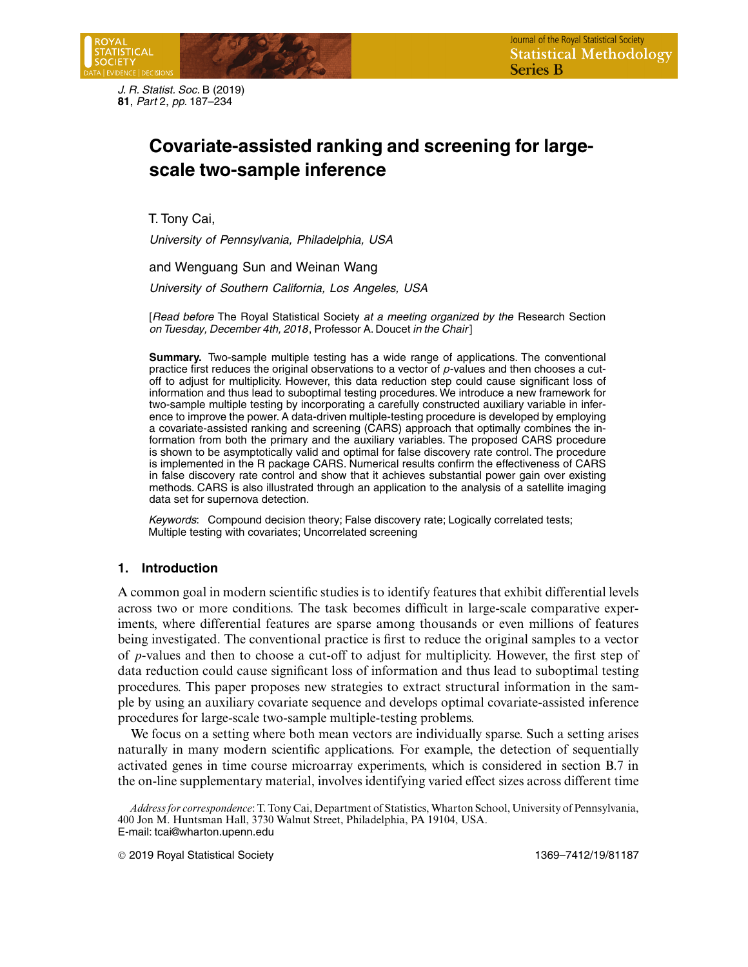*J. R. Statist. Soc.* B (2019) **81**, *Part* 2, *pp.* 187–234

# **Covariate-assisted ranking and screening for largescale two-sample inference**

T. Tony Cai,

*University of Pennsylvania, Philadelphia, USA*

and Wenguang Sun and Weinan Wang

*University of Southern California, Los Angeles, USA*

[*Read before* The Royal Statistical Society *at a meeting organized by the* Research Section *on Tuesday, December 4th, 2018*, Professor A. Doucet *in the Chair*]

**Summary.** Two-sample multiple testing has a wide range of applications. The conventional practice first reduces the original observations to a vector of *p*-values and then chooses a cutoff to adjust for multiplicity. However, this data reduction step could cause significant loss of information and thus lead to suboptimal testing procedures. We introduce a new framework for two-sample multiple testing by incorporating a carefully constructed auxiliary variable in inference to improve the power. A data-driven multiple-testing procedure is developed by employing a covariate-assisted ranking and screening (CARS) approach that optimally combines the information from both the primary and the auxiliary variables. The proposed CARS procedure is shown to be asymptotically valid and optimal for false discovery rate control. The procedure is implemented in the R package CARS. Numerical results confirm the effectiveness of CARS in false discovery rate control and show that it achieves substantial power gain over existing methods. CARS is also illustrated through an application to the analysis of a satellite imaging data set for supernova detection.

*Keywords*: Compound decision theory; False discovery rate; Logically correlated tests; Multiple testing with covariates; Uncorrelated screening

# **1. Introduction**

A common goal in modern scientific studies is to identify features that exhibit differential levels across two or more conditions. The task becomes difficult in large-scale comparative experiments, where differential features are sparse among thousands or even millions of features being investigated. The conventional practice is first to reduce the original samples to a vector of p-values and then to choose a cut-off to adjust for multiplicity. However, the first step of data reduction could cause significant loss of information and thus lead to suboptimal testing procedures. This paper proposes new strategies to extract structural information in the sample by using an auxiliary covariate sequence and develops optimal covariate-assisted inference procedures for large-scale two-sample multiple-testing problems.

We focus on a setting where both mean vectors are individually sparse. Such a setting arises naturally in many modern scientific applications. For example, the detection of sequentially activated genes in time course microarray experiments, which is considered in section B.7 in the on-line supplementary material, involves identifying varied effect sizes across different time

*Address for correspondence*: T. Tony Cai, Department of Statistics,Wharton School, University of Pennsylvania, 400 Jon M. Huntsman Hall, 3730 Walnut Street, Philadelphia, PA 19104, USA. E-mail: tcai@wharton.upenn.edu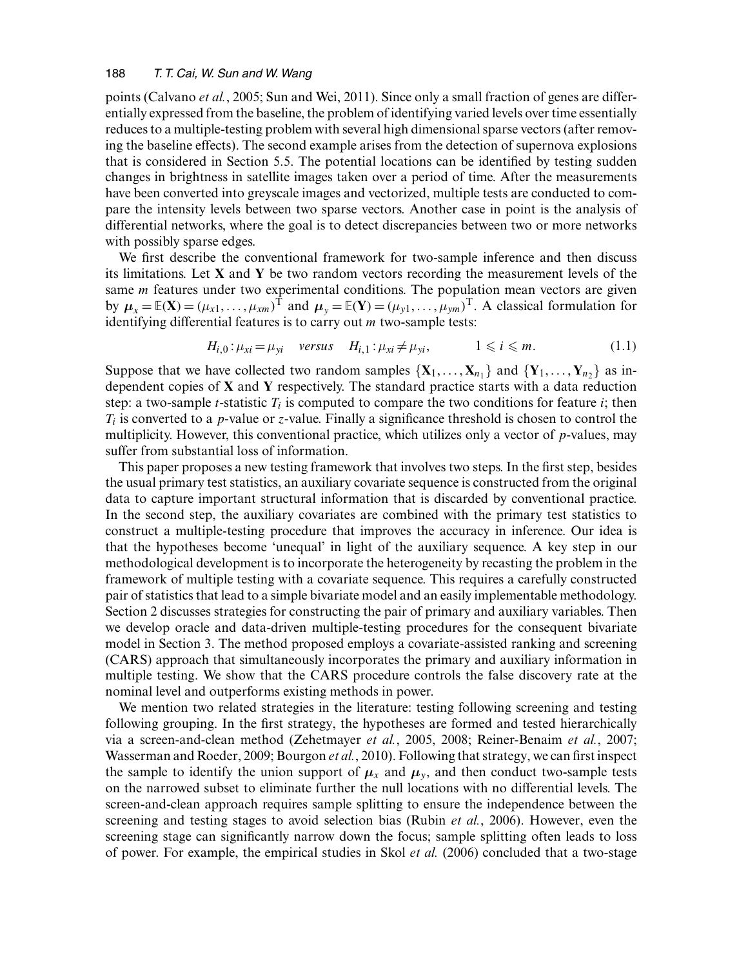points (Calvano *et al.*, 2005; Sun and Wei, 2011). Since only a small fraction of genes are differentially expressed from the baseline, the problem of identifying varied levels over time essentially reduces to a multiple-testing problem with several high dimensional sparse vectors (after removing the baseline effects). The second example arises from the detection of supernova explosions that is considered in Section 5.5. The potential locations can be identified by testing sudden changes in brightness in satellite images taken over a period of time. After the measurements have been converted into greyscale images and vectorized, multiple tests are conducted to compare the intensity levels between two sparse vectors. Another case in point is the analysis of differential networks, where the goal is to detect discrepancies between two or more networks with possibly sparse edges.

We first describe the conventional framework for two-sample inference and then discuss its limitations. Let **X** and **Y** be two random vectors recording the measurement levels of the same *m* features under two experimental conditions. The population mean vectors are given by  $\mu_x = \mathbb{E}(\mathbf{X}) = (\mu_{x1}, \dots, \mu_{xm})^\text{T}$  and  $\mu_y = \mathbb{E}(\mathbf{Y}) = (\mu_{y1}, \dots, \mu_{ym})^\text{T}$ . A classical formulation for identifying differential features is to carry out m two-sample tests:

$$
H_{i,0}: \mu_{xi} = \mu_{yi} \quad \text{versus} \quad H_{i,1}: \mu_{xi} \neq \mu_{yi}, \qquad 1 \leq i \leq m. \tag{1.1}
$$

Suppose that we have collected two random samples  $\{X_1, \ldots, X_{n_1}\}\$  and  $\{Y_1, \ldots, Y_{n_2}\}\$  as independent copies of **X** and **Y** respectively. The standard practice starts with a data reduction step: a two-sample *t*-statistic  $T_i$  is computed to compare the two conditions for feature *i*; then  $T_i$  is converted to a *p*-value or *z*-value. Finally a significance threshold is chosen to control the multiplicity. However, this conventional practice, which utilizes only a vector of p-values, may suffer from substantial loss of information.

This paper proposes a new testing framework that involves two steps. In the first step, besides the usual primary test statistics, an auxiliary covariate sequence is constructed from the original data to capture important structural information that is discarded by conventional practice. In the second step, the auxiliary covariates are combined with the primary test statistics to construct a multiple-testing procedure that improves the accuracy in inference. Our idea is that the hypotheses become 'unequal' in light of the auxiliary sequence. A key step in our methodological development is to incorporate the heterogeneity by recasting the problem in the framework of multiple testing with a covariate sequence. This requires a carefully constructed pair of statistics that lead to a simple bivariate model and an easily implementable methodology. Section 2 discusses strategies for constructing the pair of primary and auxiliary variables. Then we develop oracle and data-driven multiple-testing procedures for the consequent bivariate model in Section 3. The method proposed employs a covariate-assisted ranking and screening (CARS) approach that simultaneously incorporates the primary and auxiliary information in multiple testing. We show that the CARS procedure controls the false discovery rate at the nominal level and outperforms existing methods in power.

We mention two related strategies in the literature: testing following screening and testing following grouping. In the first strategy, the hypotheses are formed and tested hierarchically via a screen-and-clean method (Zehetmayer *et al.*, 2005, 2008; Reiner-Benaim *et al.*, 2007; Wasserman and Roeder, 2009; Bourgon *et al.*, 2010). Following that strategy, we can first inspect the sample to identify the union support of  $\mu_x$  and  $\mu_y$ , and then conduct two-sample tests on the narrowed subset to eliminate further the null locations with no differential levels. The screen-and-clean approach requires sample splitting to ensure the independence between the screening and testing stages to avoid selection bias (Rubin *et al.*, 2006). However, even the screening stage can significantly narrow down the focus; sample splitting often leads to loss of power. For example, the empirical studies in Skol *et al.* (2006) concluded that a two-stage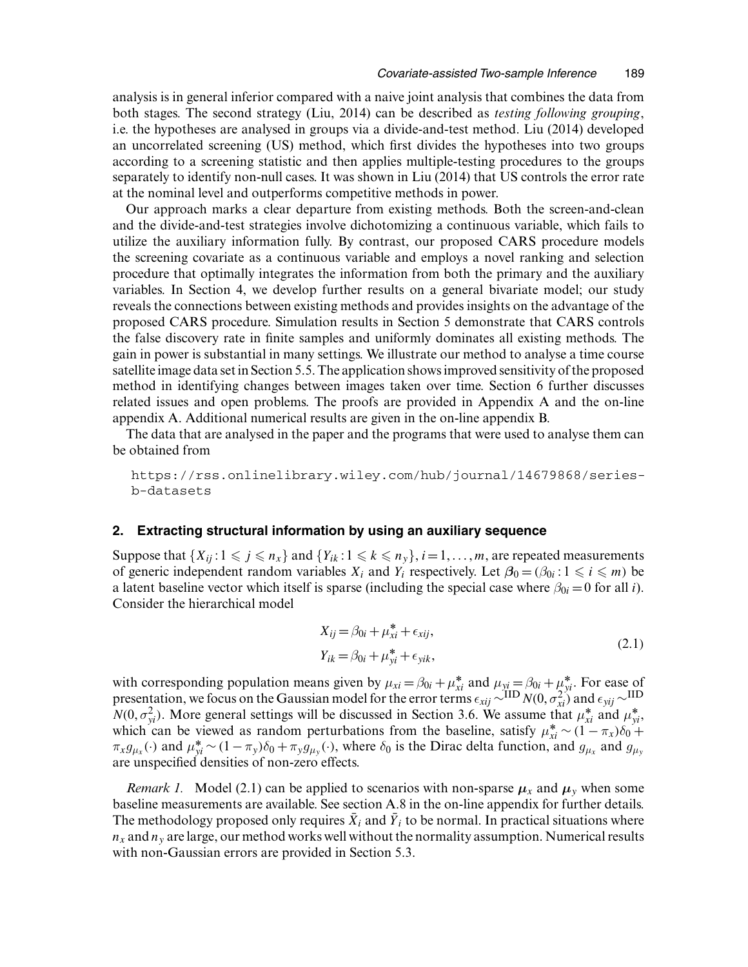analysis is in general inferior compared with a naive joint analysis that combines the data from both stages. The second strategy (Liu, 2014) can be described as *testing following grouping*, i.e. the hypotheses are analysed in groups via a divide-and-test method. Liu (2014) developed an uncorrelated screening (US) method, which first divides the hypotheses into two groups according to a screening statistic and then applies multiple-testing procedures to the groups separately to identify non-null cases. It was shown in Liu (2014) that US controls the error rate at the nominal level and outperforms competitive methods in power.

Our approach marks a clear departure from existing methods. Both the screen-and-clean and the divide-and-test strategies involve dichotomizing a continuous variable, which fails to utilize the auxiliary information fully. By contrast, our proposed CARS procedure models the screening covariate as a continuous variable and employs a novel ranking and selection procedure that optimally integrates the information from both the primary and the auxiliary variables. In Section 4, we develop further results on a general bivariate model; our study reveals the connections between existing methods and provides insights on the advantage of the proposed CARS procedure. Simulation results in Section 5 demonstrate that CARS controls the false discovery rate in finite samples and uniformly dominates all existing methods. The gain in power is substantial in many settings. We illustrate our method to analyse a time course satellite image data set in Section 5.5. The application shows improved sensitivity of the proposed method in identifying changes between images taken over time. Section 6 further discusses related issues and open problems. The proofs are provided in Appendix A and the on-line appendix A. Additional numerical results are given in the on-line appendix B.

The data that are analysed in the paper and the programs that were used to analyse them can be obtained from

https://rss.onlinelibrary.wiley.com/hub/journal/14679868/seriesb-datasets

## **2. Extracting structural information by using an auxiliary sequence**

Suppose that  $\{X_{ij} : 1 \leq j \leq n_x\}$  and  $\{Y_{ik} : 1 \leq k \leq n_y\}$ ,  $i = 1, \ldots, m$ , are repeated measurements of generic independent random variables  $X_i$  and  $Y_i$  respectively. Let  $\beta_0 = (\beta_{0i} : 1 \le i \le m)$  be a latent baseline vector which itself is sparse (including the special case where  $\beta_{0i} = 0$  for all *i*). Consider the hierarchical model

$$
X_{ij} = \beta_{0i} + \mu_{xi}^* + \epsilon_{xij},
$$
  
\n
$$
Y_{ik} = \beta_{0i} + \mu_{yi}^* + \epsilon_{yik},
$$
\n(2.1)

with corresponding population means given by  $\mu_{xi} = \beta_{0i} + \mu_{xi}^*$  and  $\mu_{yi} = \beta_{0i} + \mu_{yi}^*$ . For ease of presentation, we focus on the Gaussian model for the error terms  $\epsilon_{xij} \sim^{IID} N(0, \sigma_{xi}^2)$  and  $\epsilon_{yij} \sim^{IID} N(0, \sigma_{xij}^2)$  $N(0, \sigma_{yi}^2)$ . More general settings will be discussed in Section 3.6. We assume that  $\mu_{xi}^*$  and  $\mu_{yi}^*$ , which can be viewed as random perturbations from the baseline, satisfy  $\mu_{xi}^* \sim (1 - \pi_x)\delta_0 +$  $\pi_x g_{\mu_x}(\cdot)$  and  $\mu_{yi}^* \sim (1 - \pi_y)\delta_0 + \pi_y g_{\mu_y}(\cdot)$ , where  $\delta_0$  is the Dirac delta function, and  $g_{\mu_x}$  and  $g_{\mu_y}$ are unspecified densities of non-zero effects.

*Remark 1.* Model (2.1) can be applied to scenarios with non-sparse  $\mu_x$  and  $\mu_y$  when some baseline measurements are available. See section A.8 in the on-line appendix for further details. The methodology proposed only requires  $\bar{X}_i$  and  $\bar{Y}_i$  to be normal. In practical situations where  $n_x$  and  $n_y$  are large, our method works well without the normality assumption. Numerical results with non-Gaussian errors are provided in Section 5.3.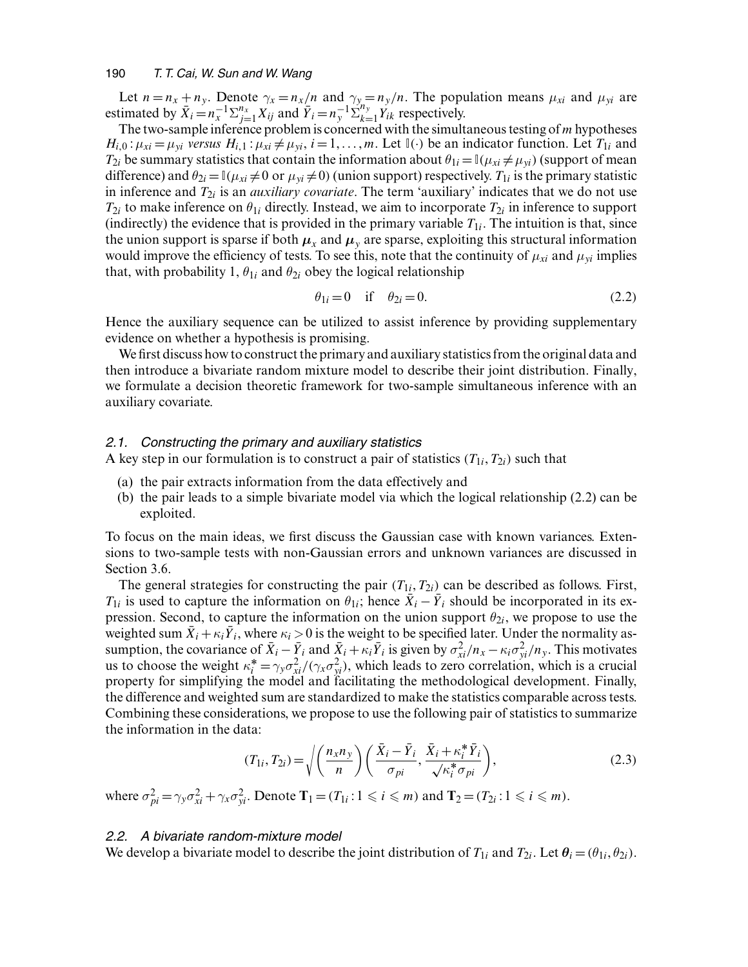Let  $n = n_x + n_y$ . Denote  $\gamma_x = n_x/n$  and  $\gamma_y = n_y/n$ . The population means  $\mu_{xi}$  and  $\mu_{yi}$  are estimated by  $\overline{X}_i = n_x^{-1} \sum_{j=1}^{n_x} X_{ij}$  and  $\overline{Y}_i = n_y^{-1} \sum_{k=1}^{n_y} Y_{ik}$  respectively.

The two-sample inference problem is concerned with the simultaneous testing of  $m$  hypotheses  $H_{i,0}$ :  $\mu_{xi} = \mu_{yi}$  *versus*  $H_{i,1}$ :  $\mu_{xi} \neq \mu_{yi}$ ,  $i = 1, ..., m$ . Let  $\mathbb{I}(\cdot)$  be an indicator function. Let  $T_{1i}$  and  $T_{2i}$  be summary statistics that contain the information about  $\theta_{1i} = \mathbb{I}(\mu_{xi} \neq \mu_{yi})$  (support of mean difference) and  $\theta_{2i} = \mathbb{I}(\mu_{xi} \neq 0$  or  $\mu_{yi} \neq 0$  (union support) respectively.  $T_{1i}$  is the primary statistic in inference and  $T_{2i}$  is an *auxiliary covariate*. The term 'auxiliary' indicates that we do not use  $T_{2i}$  to make inference on  $\theta_{1i}$  directly. Instead, we aim to incorporate  $T_{2i}$  in inference to support (indirectly) the evidence that is provided in the primary variable  $T_{1i}$ . The intuition is that, since the union support is sparse if both  $\mu_x$  and  $\mu_y$  are sparse, exploiting this structural information would improve the efficiency of tests. To see this, note that the continuity of  $\mu_{xi}$  and  $\mu_{yi}$  implies that, with probability 1,  $\theta_{1i}$  and  $\theta_{2i}$  obey the logical relationship

$$
\theta_{1i} = 0 \quad \text{if} \quad \theta_{2i} = 0. \tag{2.2}
$$

Hence the auxiliary sequence can be utilized to assist inference by providing supplementary evidence on whether a hypothesis is promising.

We first discuss how to construct the primary and auxiliary statistics from the original data and then introduce a bivariate random mixture model to describe their joint distribution. Finally, we formulate a decision theoretic framework for two-sample simultaneous inference with an auxiliary covariate.

# *2.1. Constructing the primary and auxiliary statistics*

A key step in our formulation is to construct a pair of statistics  $(T_{1i}, T_{2i})$  such that

- (a) the pair extracts information from the data effectively and
- (b) the pair leads to a simple bivariate model via which the logical relationship (2.2) can be exploited.

To focus on the main ideas, we first discuss the Gaussian case with known variances. Extensions to two-sample tests with non-Gaussian errors and unknown variances are discussed in Section 3.6.

The general strategies for constructing the pair  $(T_{1i}, T_{2i})$  can be described as follows. First,  $T_{1i}$  is used to capture the information on  $\theta_{1i}$ ; hence  $\bar{X}_i - \bar{Y}_i$  should be incorporated in its expression. Second, to capture the information on the union support  $\theta_{2i}$ , we propose to use the weighted sum  $\bar{X}_i + \kappa_i \bar{Y}_i$ , where  $\kappa_i > 0$  is the weight to be specified later. Under the normality assumption, the covariance of  $\bar{X}_i - \bar{Y}_i$  and  $\bar{X}_i + \kappa_i \bar{Y}_i$  is given by  $\sigma_{xi}^2/n_x - \kappa_i \sigma_{yi}^2/n_y$ . This motivates us to choose the weight  $\kappa_i^* = \gamma_y \sigma_{xi}^2/(\gamma_x \sigma_{yi}^2)$ , which leads to zero correlation, which is a crucial property for simplifying the model and facilitating the methodological development. Finally, the difference and weighted sum are standardized to make the statistics comparable across tests. Combining these considerations, we propose to use the following pair of statistics to summarize the information in the data:

$$
(T_{1i}, T_{2i}) = \sqrt{\left(\frac{n_x n_y}{n}\right) \left(\frac{\bar{X}_i - \bar{Y}_i}{\sigma_{pi}}, \frac{\bar{X}_i + \kappa_i^* \bar{Y}_i}{\sqrt{\kappa_i^* \sigma_{pi}}}\right)},
$$
(2.3)

where  $\sigma_{pi}^2 = \gamma_y \sigma_{xi}^2 + \gamma_x \sigma_{yi}^2$ . Denote  $\mathbf{T}_1 = (T_{1i} : 1 \leq i \leq m)$  and  $\mathbf{T}_2 = (T_{2i} : 1 \leq i \leq m)$ .

## *2.2. A bivariate random-mixture model*

We develop a bivariate model to describe the joint distribution of  $T_{1i}$  and  $T_{2i}$ . Let  $\theta_i = (\theta_{1i}, \theta_{2i})$ .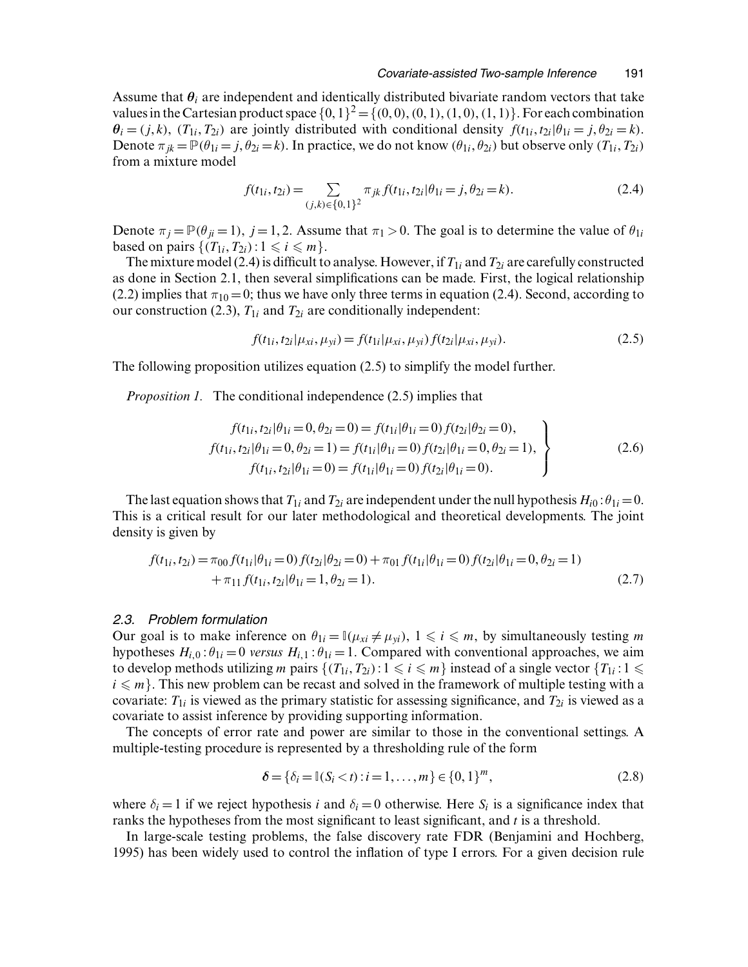Assume that  $\theta_i$  are independent and identically distributed bivariate random vectors that take values in the Cartesian product space  $\{0, 1\}^2 = \{(0, 0), (0, 1), (1, 0), (1, 1)\}$ . For each combination  $\theta_i = (j, k), (T_{1i}, T_{2i})$  are jointly distributed with conditional density  $f(t_{1i}, t_{2i} | \theta_{1i} = j, \theta_{2i} = k)$ . Denote  $\pi_{jk} = \mathbb{P}(\theta_{1i} = j, \theta_{2i} = k)$ . In practice, we do not know  $(\theta_{1i}, \theta_{2i})$  but observe only  $(T_{1i}, T_{2i})$ from a mixture model

$$
f(t_{1i}, t_{2i}) = \sum_{(j,k)\in\{0,1\}^2} \pi_{jk} f(t_{1i}, t_{2i} | \theta_{1i} = j, \theta_{2i} = k).
$$
 (2.4)

Denote  $\pi_i = \mathbb{P}(\theta_{ii} = 1)$ ,  $j = 1, 2$ . Assume that  $\pi_1 > 0$ . The goal is to determine the value of  $\theta_{1i}$ based on pairs  $\{(T_{1i}, T_{2i}): 1 \le i \le m\}.$ 

The mixture model (2.4) is difficult to analyse. However, if  $T_{1i}$  and  $T_{2i}$  are carefully constructed as done in Section 2.1, then several simplifications can be made. First, the logical relationship (2.2) implies that  $\pi_{10} = 0$ ; thus we have only three terms in equation (2.4). Second, according to our construction (2.3),  $T_{1i}$  and  $T_{2i}$  are conditionally independent:

$$
f(t_{1i}, t_{2i} | \mu_{xi}, \mu_{yi}) = f(t_{1i} | \mu_{xi}, \mu_{yi}) f(t_{2i} | \mu_{xi}, \mu_{yi}).
$$
\n(2.5)

The following proposition utilizes equation (2.5) to simplify the model further.

*Proposition 1.* The conditional independence (2.5) implies that

$$
f(t_{1i}, t_{2i} | \theta_{1i} = 0, \theta_{2i} = 0) = f(t_{1i} | \theta_{1i} = 0) f(t_{2i} | \theta_{2i} = 0),
$$
  
\n
$$
f(t_{1i}, t_{2i} | \theta_{1i} = 0, \theta_{2i} = 1) = f(t_{1i} | \theta_{1i} = 0) f(t_{2i} | \theta_{1i} = 0, \theta_{2i} = 1),
$$
  
\n
$$
f(t_{1i}, t_{2i} | \theta_{1i} = 0) = f(t_{1i} | \theta_{1i} = 0) f(t_{2i} | \theta_{1i} = 0).
$$
\n(2.6)

The last equation shows that  $T_{1i}$  and  $T_{2i}$  are independent under the null hypothesis  $H_{i0}$ :  $\theta_{1i} = 0$ . This is a critical result for our later methodological and theoretical developments. The joint density is given by

$$
f(t_{1i}, t_{2i}) = \pi_{00} f(t_{1i} | \theta_{1i} = 0) f(t_{2i} | \theta_{2i} = 0) + \pi_{01} f(t_{1i} | \theta_{1i} = 0) f(t_{2i} | \theta_{1i} = 0, \theta_{2i} = 1) + \pi_{11} f(t_{1i}, t_{2i} | \theta_{1i} = 1, \theta_{2i} = 1).
$$
\n(2.7)

#### *2.3. Problem formulation*

Our goal is to make inference on  $\theta_{1i} = \mathbb{I}(\mu_{xi} \neq \mu_{yi}), 1 \leq i \leq m$ , by simultaneously testing m hypotheses  $H_{i,0}$ :  $\theta_{1i} = 0$  *versus*  $H_{i,1}$ :  $\theta_{1i} = 1$ . Compared with conventional approaches, we aim to develop methods utilizing m pairs  $\{(T_{1i}, T_{2i}): 1 \leq i \leq m\}$  instead of a single vector  $\{T_{1i}: 1 \leq i \leq m\}$  $i \leq m$ . This new problem can be recast and solved in the framework of multiple testing with a covariate:  $T_{1i}$  is viewed as the primary statistic for assessing significance, and  $T_{2i}$  is viewed as a covariate to assist inference by providing supporting information.

The concepts of error rate and power are similar to those in the conventional settings. A multiple-testing procedure is represented by a thresholding rule of the form

$$
\delta = {\delta_i = \mathbb{I}(S_i < t) : i = 1, \dots, m} \in \{0, 1\}^m,\tag{2.8}
$$

where  $\delta_i = 1$  if we reject hypothesis i and  $\delta_i = 0$  otherwise. Here  $S_i$  is a significance index that ranks the hypotheses from the most significant to least significant, and  $t$  is a threshold.

In large-scale testing problems, the false discovery rate FDR (Benjamini and Hochberg, 1995) has been widely used to control the inflation of type I errors. For a given decision rule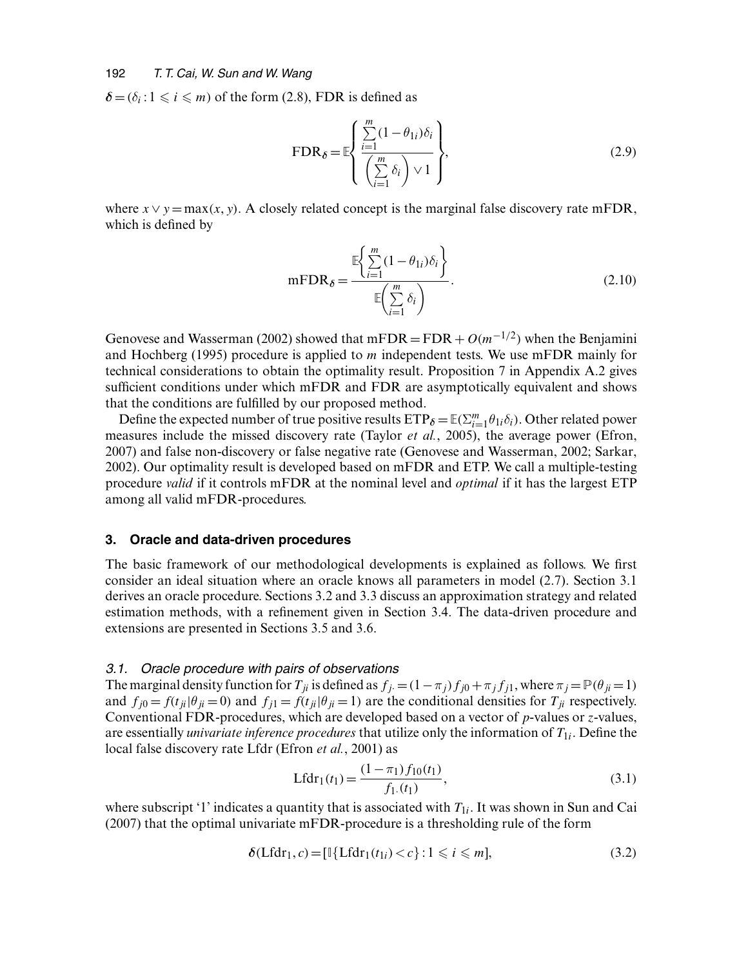$\delta$  = ( $\delta_i$ : 1  $\leq$  i  $\leq$  m) of the form (2.8), FDR is defined as

$$
\text{FDR}_{\delta} = \mathbb{E} \left\{ \frac{\sum_{i=1}^{m} (1 - \theta_{1i}) \delta_i}{\left(\sum_{i=1}^{m} \delta_i\right) \vee 1} \right\},\tag{2.9}
$$

where  $x \vee y = \max(x, y)$ . A closely related concept is the marginal false discovery rate mFDR, which is defined by

$$
mFDR_{\delta} = \frac{\mathbb{E}\left\{\sum_{i=1}^{m} (1 - \theta_{1i})\delta_i\right\}}{\mathbb{E}\left(\sum_{i=1}^{m} \delta_i\right)}.
$$
\n(2.10)

Genovese and Wasserman (2002) showed that mFDR = FDR +  $O(m^{-1/2})$  when the Benjamini and Hochberg (1995) procedure is applied to m independent tests. We use mFDR mainly for technical considerations to obtain the optimality result. Proposition 7 in Appendix A.2 gives sufficient conditions under which mFDR and FDR are asymptotically equivalent and shows that the conditions are fulfilled by our proposed method.

Define the expected number of true positive results  $ETP_{\delta} = \mathbb{E}(\sum_{i=1}^{m} \theta_{1i} \delta_i)$ . Other related power measures include the missed discovery rate (Taylor *et al.*, 2005), the average power (Efron, 2007) and false non-discovery or false negative rate (Genovese and Wasserman, 2002; Sarkar, 2002). Our optimality result is developed based on mFDR and ETP. We call a multiple-testing procedure *valid* if it controls mFDR at the nominal level and *optimal* if it has the largest ETP among all valid mFDR-procedures.

#### **3. Oracle and data-driven procedures**

The basic framework of our methodological developments is explained as follows. We first consider an ideal situation where an oracle knows all parameters in model (2.7). Section 3.1 derives an oracle procedure. Sections 3.2 and 3.3 discuss an approximation strategy and related estimation methods, with a refinement given in Section 3.4. The data-driven procedure and extensions are presented in Sections 3.5 and 3.6.

# *3.1. Oracle procedure with pairs of observations*

The marginal density function for  $T_{ji}$  is defined as  $f_j = (1 - \pi_j)f_{j0} + \pi_j f_{j1}$ , where  $\pi_j = \mathbb{P}(\theta_{ji} = 1)$ and  $f_{i0} = f(t_{ii}|\theta_{ii} = 0)$  and  $f_{i1} = f(t_{ii}|\theta_{ii} = 1)$  are the conditional densities for  $T_{ii}$  respectively. Conventional FDR-procedures, which are developed based on a vector of  $p$ -values or  $z$ -values, are essentially *univariate inference procedures* that utilize only the information of  $T_{1i}$ . Define the local false discovery rate Lfdr (Efron *et al.*, 2001) as

$$
Lfdr_1(t_1) = \frac{(1 - \pi_1) f_{10}(t_1)}{f_{1.}(t_1)},
$$
\n(3.1)

where subscript '1' indicates a quantity that is associated with  $T_{1i}$ . It was shown in Sun and Cai (2007) that the optimal univariate mFDR-procedure is a thresholding rule of the form

$$
\delta(\text{Lfdr}_1, c) = [\mathbb{I}\{\text{Lfdr}_1(t_{1i}) < c\} : 1 \leq i \leq m],\tag{3.2}
$$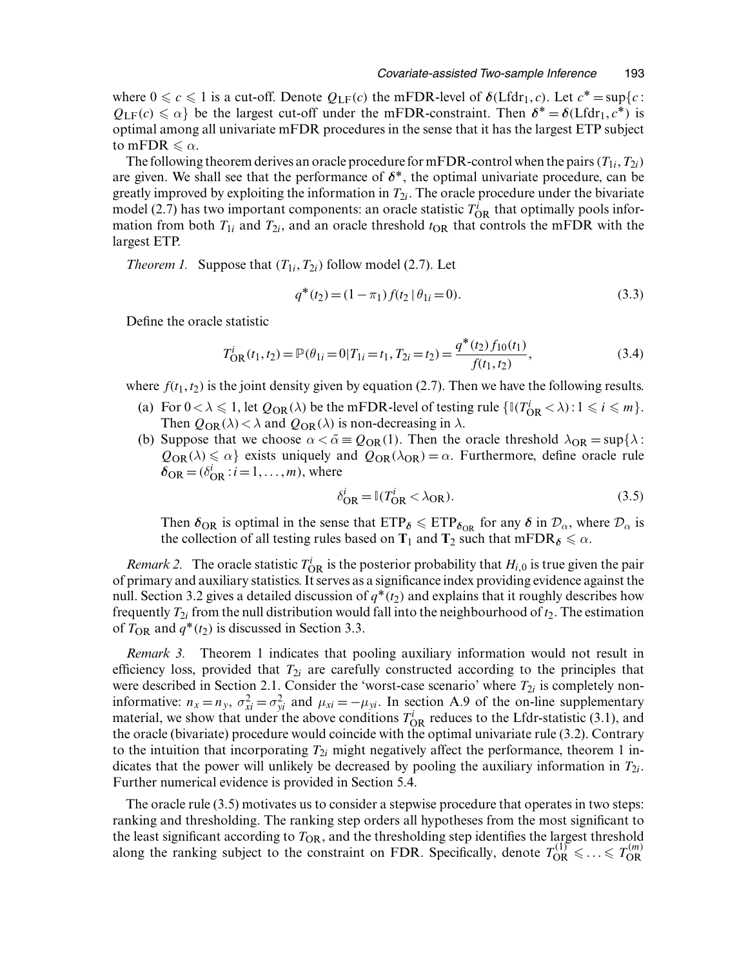where  $0 \leq c \leq 1$  is a cut-off. Denote  $Q_{LF}(c)$  the mFDR-level of  $\delta(Lfdr_1, c)$ . Let  $c^* = \sup\{c :$  $Q_{LF}(c) \le \alpha$ } be the largest cut-off under the mFDR-constraint. Then  $\delta^* = \delta(Lfdr_1, c^*)$  is optimal among all univariate mFDR procedures in the sense that it has the largest ETP subject to mFDR  $\leq \alpha$ .

The following theorem derives an oracle procedure for mFDR-control when the pairs  $(T_{1i}, T_{2i})$ are given. We shall see that the performance of  $\delta^*$ , the optimal univariate procedure, can be greatly improved by exploiting the information in  $T_{2i}$ . The oracle procedure under the bivariate model (2.7) has two important components: an oracle statistic  $T_{OR}^i$  that optimally pools information from both  $T_{1i}$  and  $T_{2i}$ , and an oracle threshold  $t_{OR}$  that controls the mFDR with the largest ETP.

*Theorem 1.* Suppose that  $(T_{1i}, T_{2i})$  follow model (2.7). Let

$$
q^*(t_2) = (1 - \pi_1) f(t_2 \mid \theta_{1i} = 0).
$$
\n(3.3)

Define the oracle statistic

$$
T_{\rm OR}^i(t_1, t_2) = \mathbb{P}(\theta_{1i} = 0 | T_{1i} = t_1, T_{2i} = t_2) = \frac{q^*(t_2) f_{10}(t_1)}{f(t_1, t_2)},
$$
\n(3.4)

where  $f(t_1, t_2)$  is the joint density given by equation (2.7). Then we have the following results.

- (a) For  $0 < \lambda \leq 1$ , let  $Q_{OR}(\lambda)$  be the mFDR-level of testing rule  $\{\mathbb{I}(T_{OR}^i < \lambda) : 1 \leq i \leq m\}$ . Then  $Q_{OR}(\lambda) < \lambda$  and  $Q_{OR}(\lambda)$  is non-decreasing in  $\lambda$ .
- (b) Suppose that we choose  $\alpha < \bar{\alpha} \equiv Q_{OR}(1)$ . Then the oracle threshold  $\lambda_{OR} = \sup{\lambda :}$  $Q_{OR}(\lambda) \le \alpha$ } exists uniquely and  $Q_{OR}(\lambda_{OR}) = \alpha$ . Furthermore, define oracle rule  $\delta_{\text{OR}} = (\delta_{\text{OR}}^i : i = 1, \dots, m)$ , where

$$
\delta_{\text{OR}}^i = \mathbb{I}(T_{\text{OR}}^i < \lambda_{\text{OR}}). \tag{3.5}
$$

Then  $\delta_{OR}$  is optimal in the sense that  $ETP_{\delta} \leq ETP_{\delta_{OR}}$  for any  $\delta$  in  $\mathcal{D}_{\alpha}$ , where  $\mathcal{D}_{\alpha}$  is the collection of all testing rules based on  $T_1$  and  $T_2$  such that mFDR<sub> $\delta \leq \alpha$ .</sub>

*Remark 2.* The oracle statistic  $T_{OR}^i$  is the posterior probability that  $H_{i,0}$  is true given the pair of primary and auxiliary statistics. It serves as a significance index providing evidence against the null. Section 3.2 gives a detailed discussion of  $q^*(t_2)$  and explains that it roughly describes how frequently  $T_{2i}$  from the null distribution would fall into the neighbourhood of  $t_2$ . The estimation of  $T_{OR}$  and  $q^*(t_2)$  is discussed in Section 3.3.

*Remark 3.* Theorem 1 indicates that pooling auxiliary information would not result in efficiency loss, provided that  $T_{2i}$  are carefully constructed according to the principles that were described in Section 2.1. Consider the 'worst-case scenario' where  $T_{2i}$  is completely noninformative:  $n_x = n_y$ ,  $\sigma_{xi}^2 = \sigma_{yi}^2$  and  $\mu_{xi} = -\mu_{yi}$ . In section A.9 of the on-line supplementary material, we show that under the above conditions  $T_{OR}^i$  reduces to the Lfdr-statistic (3.1), and the oracle (bivariate) procedure would coincide with the optimal univariate rule (3.2). Contrary to the intuition that incorporating  $T_{2i}$  might negatively affect the performance, theorem 1 indicates that the power will unlikely be decreased by pooling the auxiliary information in  $T_{2i}$ . Further numerical evidence is provided in Section 5.4.

The oracle rule (3.5) motivates us to consider a stepwise procedure that operates in two steps: ranking and thresholding. The ranking step orders all hypotheses from the most significant to the least significant according to  $T_{OR}$ , and the thresholding step identifies the largest threshold along the ranking subject to the constraint on FDR. Specifically, denote  $T_{OR}^{(1)} \leq \ldots \leq T_{OR}^{(m)}$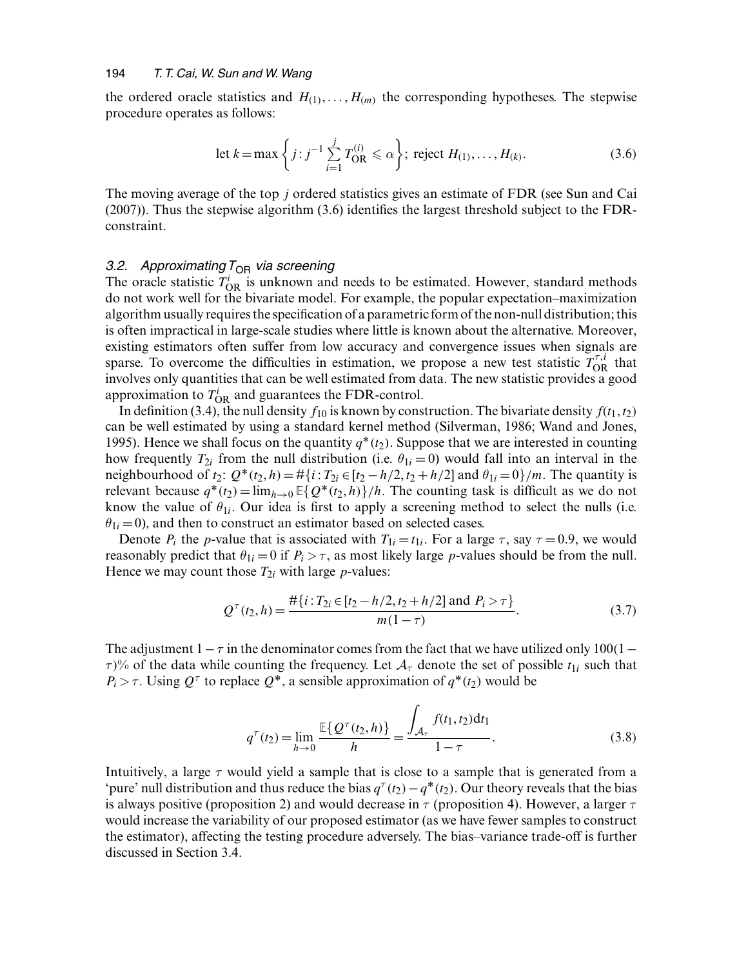the ordered oracle statistics and  $H_{(1)}, \ldots, H_{(m)}$  the corresponding hypotheses. The stepwise procedure operates as follows:

let 
$$
k = \max \left\{ j : j^{-1} \sum_{i=1}^{j} T_{\text{OR}}^{(i)} \le \alpha \right\};
$$
 reject  $H_{(1)}, \dots, H_{(k)}$ . (3.6)

The moving average of the top j ordered statistics gives an estimate of FDR (see Sun and Cai (2007)). Thus the stepwise algorithm (3.6) identifies the largest threshold subject to the FDRconstraint.

## *3.2.* Approximating T<sub>OR</sub> via screening

The oracle statistic  $T_{OR}^i$  is unknown and needs to be estimated. However, standard methods do not work well for the bivariate model. For example, the popular expectation–maximization algorithm usually requires the specification of a parametric form of the non-null distribution; this is often impractical in large-scale studies where little is known about the alternative. Moreover, existing estimators often suffer from low accuracy and convergence issues when signals are sparse. To overcome the difficulties in estimation, we propose a new test statistic  $T_{OR}^{\tau,i}$  that involves only quantities that can be well estimated from data. The new statistic provides a good approximation to  $T_{OR}^i$  and guarantees the FDR-control.

In definition (3.4), the null density  $f_{10}$  is known by construction. The bivariate density  $f(t_1, t_2)$ can be well estimated by using a standard kernel method (Silverman, 1986; Wand and Jones, 1995). Hence we shall focus on the quantity  $q^*(t_2)$ . Suppose that we are interested in counting how frequently  $T_{2i}$  from the null distribution (i.e.  $\theta_{1i} = 0$ ) would fall into an interval in the neighbourhood of  $t_2$ :  $Q^*(t_2, h) = #\{i: T_{2i} \in [t_2 - h/2, t_2 + h/2] \text{ and } \theta_{1i} = 0\}/m$ . The quantity is relevant because  $q^*(t_2) = \lim_{h\to 0} \mathbb{E}\{Q^*(t_2, h)\}/h$ . The counting task is difficult as we do not know the value of  $\theta_{1i}$ . Our idea is first to apply a screening method to select the nulls (i.e.  $\theta_{1i} = 0$ ), and then to construct an estimator based on selected cases.

Denote  $P_i$  the p-value that is associated with  $T_{1i} = t_{1i}$ . For a large  $\tau$ , say  $\tau = 0.9$ , we would reasonably predict that  $\theta_{1i} = 0$  if  $P_i > \tau$ , as most likely large *p*-values should be from the null. Hence we may count those  $T_{2i}$  with large *p*-values:

$$
Q^{\tau}(t_2, h) = \frac{\#\{i : T_{2i} \in [t_2 - h/2, t_2 + h/2] \text{ and } P_i > \tau\}}{m(1 - \tau)}.
$$
 (3.7)

The adjustment  $1 - \tau$  in the denominator comes from the fact that we have utilized only 100(1 –  $\tau$ <sup>%</sup> of the data while counting the frequency. Let  $A_\tau$  denote the set of possible  $t_{1i}$  such that  $P_i > \tau$ . Using  $Q^{\tau}$  to replace  $Q^*$ , a sensible approximation of  $q^*(t_2)$  would be

$$
q^{\tau}(t_2) = \lim_{h \to 0} \frac{\mathbb{E}\{Q^{\tau}(t_2, h)\}}{h} = \frac{\int_{\mathcal{A}_{\tau}} f(t_1, t_2) dt_1}{1 - \tau}.
$$
 (3.8)

Intuitively, a large  $\tau$  would yield a sample that is close to a sample that is generated from a 'pure' null distribution and thus reduce the bias  $q^{\tau}(t_2)-q^*(t_2)$ . Our theory reveals that the bias is always positive (proposition 2) and would decrease in  $\tau$  (proposition 4). However, a larger  $\tau$ would increase the variability of our proposed estimator (as we have fewer samples to construct the estimator), affecting the testing procedure adversely. The bias–variance trade-off is further discussed in Section 3.4.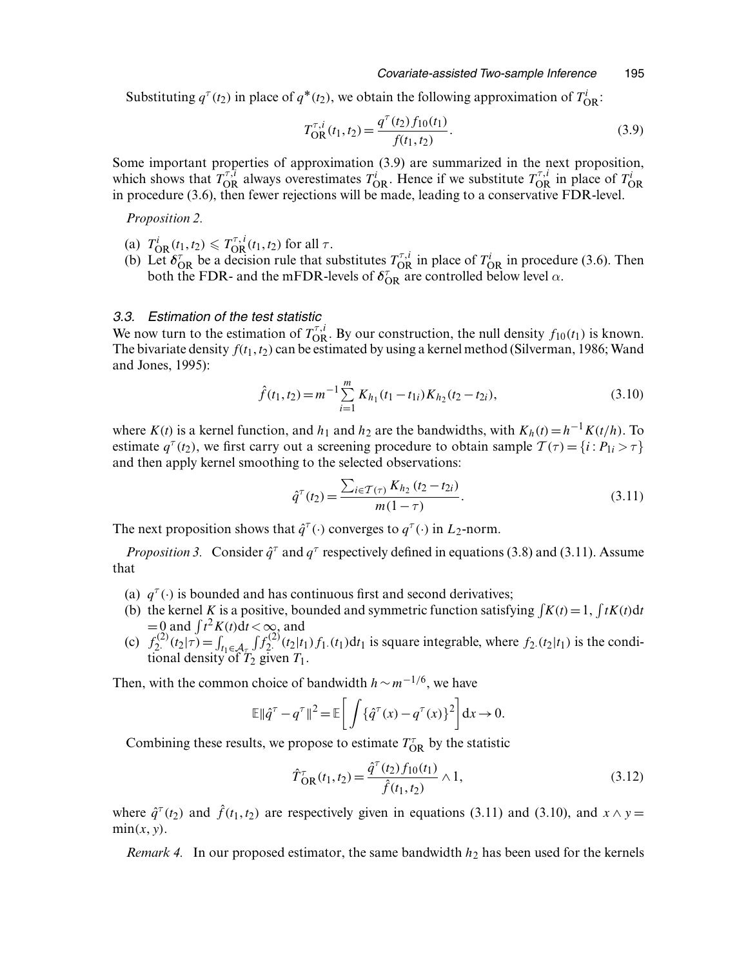Substituting  $q^{\tau}(t_2)$  in place of  $q^*(t_2)$ , we obtain the following approximation of  $T_{\rm OR}^i$ :

$$
T_{\text{OR}}^{\tau,i}(t_1, t_2) = \frac{q^{\tau}(t_2) f_{10}(t_1)}{f(t_1, t_2)}.
$$
\n(3.9)

Some important properties of approximation (3.9) are summarized in the next proposition, which shows that  $T_{\rm OR}^{\tau,i}$  always overestimates  $T_{\rm OR}^i$ . Hence if we substitute  $T_{\rm OR}^{\tau,i}$  in place of  $T_{\rm OR}^i$  in procedure (3.6), then fewer rejections will be made, leading to a conservative FDR-level.

*Proposition 2.*

- (a)  $T_{\text{OR}}^{i}(t_1, t_2) \leq T_{\text{OR}}^{\tau, i}(t_1, t_2)$  for all  $\tau$ .
- (b) Let  $\delta_{\rm OR}^{\tau}$  be a decision rule that substitutes  $T_{\rm OR}^{\tau,i}$  in place of  $T_{\rm OR}^i$  in procedure (3.6). Then both the FDR- and the mFDR-levels of  $\delta_{OR}^{\tau}$  are controlled below level  $\alpha$ .

#### *3.3. Estimation of the test statistic*

We now turn to the estimation of  $T_{OR}^{\tau,i}$ . By our construction, the null density  $f_{10}(t_1)$  is known. The bivariate density  $f(t_1, t_2)$  can be estimated by using a kernel method (Silverman, 1986; Wand and Jones, 1995):

$$
\hat{f}(t_1, t_2) = m^{-1} \sum_{i=1}^{m} K_{h_1}(t_1 - t_{1i}) K_{h_2}(t_2 - t_{2i}),
$$
\n(3.10)

where K(t) is a kernel function, and  $h_1$  and  $h_2$  are the bandwidths, with  $K_h(t) = h^{-1}K(t/h)$ . To estimate  $q^{\tau}(t_2)$ , we first carry out a screening procedure to obtain sample  $\mathcal{T}(\tau) = \{i : P_{1i} > \tau\}$ and then apply kernel smoothing to the selected observations:

$$
\hat{q}^{\tau}(t_2) = \frac{\sum_{i \in \mathcal{T}(\tau)} K_{h_2} (t_2 - t_{2i})}{m(1 - \tau)}.
$$
\n(3.11)

The next proposition shows that  $\hat{q}^{\tau}(\cdot)$  converges to  $q^{\tau}(\cdot)$  in L<sub>2</sub>-norm.

*Proposition 3.* Consider  $\hat{q}^{\tau}$  and  $q^{\tau}$  respectively defined in equations (3.8) and (3.11). Assume that

- (a)  $q^{\tau}(\cdot)$  is bounded and has continuous first and second derivatives;
- (b) the kernel K is a positive, bounded and symmetric function satisfying  $\int K(t) = 1$ ,  $\int tK(t)dt$  $=0$  and  $\int t^2 K(t) dt < \infty$ , and
- (c)  $f_2^{(2)}(t_2|\tau) = \int_{t_1 \in A_{\tau}}$  $\int f_{2}^{(2)}(t_2|t_1) f_1(t_1) dt_1$  is square integrable, where  $f_2(t_2|t_1)$  is the conditional density of  $T_2$  given  $T_1$ .

Then, with the common choice of bandwidth  $h \sim m^{-1/6}$ , we have

$$
\mathbb{E} \|\hat{q}^\tau - q^\tau\|^2 = \mathbb{E} \bigg[ \int {\{\hat{q}^\tau(x) - q^\tau(x)\}}^2 \bigg] dx \to 0.
$$

Combining these results, we propose to estimate  $T_{OR}^{\tau}$  by the statistic

$$
\hat{T}_{\text{OR}}^{\tau}(t_1, t_2) = \frac{\hat{q}^{\tau}(t_2) f_{10}(t_1)}{\hat{f}(t_1, t_2)} \wedge 1, \qquad (3.12)
$$

where  $\hat{q}^{\tau}(t_2)$  and  $\hat{f}(t_1, t_2)$  are respectively given in equations (3.11) and (3.10), and  $x \wedge y =$  $min(x, y)$ .

*Remark 4.* In our proposed estimator, the same bandwidth  $h_2$  has been used for the kernels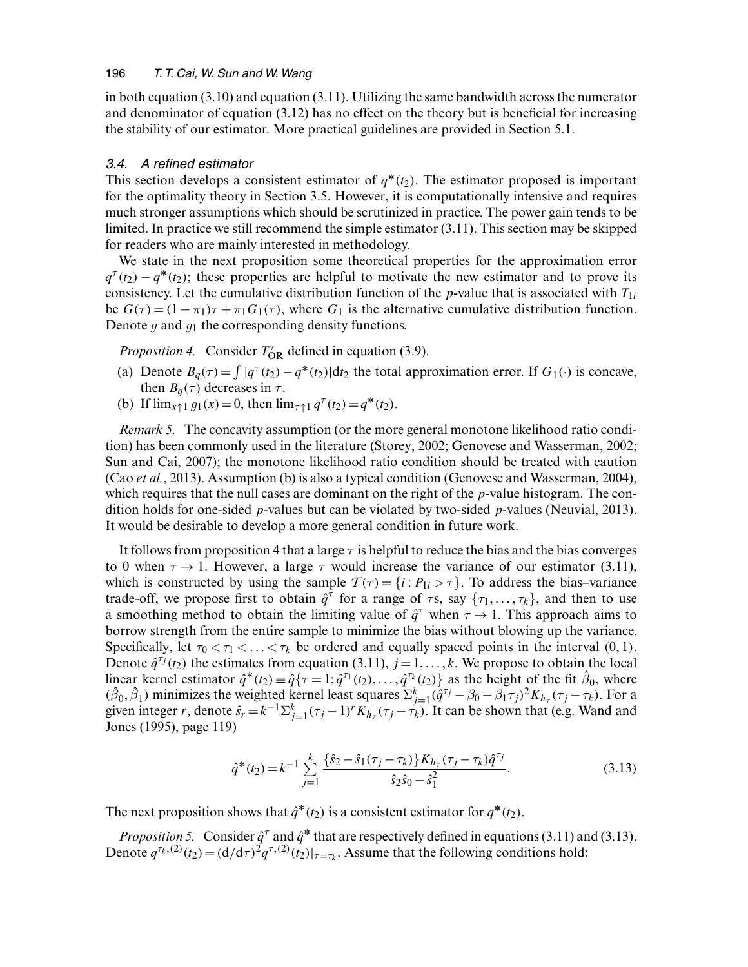in both equation (3.10) and equation (3.11). Utilizing the same bandwidth across the numerator and denominator of equation (3.12) has no effect on the theory but is beneficial for increasing the stability of our estimator. More practical guidelines are provided in Section 5.1.

# *3.4. A refined estimator*

This section develops a consistent estimator of  $q^*(t_2)$ . The estimator proposed is important for the optimality theory in Section 3.5. However, it is computationally intensive and requires much stronger assumptions which should be scrutinized in practice. The power gain tends to be limited. In practice we still recommend the simple estimator (3.11). This section may be skipped for readers who are mainly interested in methodology.

We state in the next proposition some theoretical properties for the approximation error  $q^{\tau}(t_2) - q^*(t_2)$ ; these properties are helpful to motivate the new estimator and to prove its consistency. Let the cumulative distribution function of the p-value that is associated with  $T_{1i}$ be  $G(\tau) = (1 - \pi_1)\tau + \pi_1 G_1(\tau)$ , where  $G_1$  is the alternative cumulative distribution function. Denote *g* and *g*<sup>1</sup> the corresponding density functions.

*Proposition 4.* Consider  $T_{OR}^{\tau}$  defined in equation (3.9).

- (a) Denote  $B_q(\tau) = \int |q^\tau(t_2) q^*(t_2)| dt_2$  the total approximation error. If  $G_1(\cdot)$  is concave, then  $B_q(\tau)$  decreases in  $\tau$ .
- (b) If  $\lim_{x \uparrow 1} g_1(x) = 0$ , then  $\lim_{\tau \uparrow 1} q^{\tau}(t_2) = q^*(t_2)$ .

*Remark 5.* The concavity assumption (or the more general monotone likelihood ratio condition) has been commonly used in the literature (Storey, 2002; Genovese and Wasserman, 2002; Sun and Cai, 2007); the monotone likelihood ratio condition should be treated with caution (Cao *et al.*, 2013). Assumption (b) is also a typical condition (Genovese and Wasserman, 2004), which requires that the null cases are dominant on the right of the  $p$ -value histogram. The condition holds for one-sided *p*-values but can be violated by two-sided *p*-values (Neuvial, 2013). It would be desirable to develop a more general condition in future work.

It follows from proposition 4 that a large  $\tau$  is helpful to reduce the bias and the bias converges to 0 when  $\tau \rightarrow 1$ . However, a large  $\tau$  would increase the variance of our estimator (3.11), which is constructed by using the sample  $\mathcal{T}(\tau) = \{i : P_{1i} > \tau\}$ . To address the bias–variance trade-off, we propose first to obtain  $\hat{q}^{\tau}$  for a range of  $\tau s$ , say  $\{\tau_1, \ldots, \tau_k\}$ , and then to use a smoothing method to obtain the limiting value of  $\hat{q}^{\tau}$  when  $\tau \to 1$ . This approach aims to borrow strength from the entire sample to minimize the bias without blowing up the variance. Specifically, let  $\tau_0 < \tau_1 < \ldots < \tau_k$  be ordered and equally spaced points in the interval (0, 1). Denote  $\hat{q}^{\tau_j}(t_2)$  the estimates from equation (3.11),  $j = 1, ..., k$ . We propose to obtain the local linear kernel estimator  $\hat{q}^*(t_2) \equiv \hat{q} \{ \tau = 1; \hat{q}^{\tau_1}(t_2), \ldots, \hat{q}^{\tau_k}(t_2) \}$  as the height of the fit  $\hat{\beta}_0$ , where  $(\hat{\beta}_0, \hat{\beta}_1)$  minimizes the weighted kernel least squares  $\sum_{j=1}^k (\hat{q}^{\tau_j} - \beta_0 - \beta_1 \tau_j)^2 K_{h_\tau} (\tau_j - \tau_k)$ . For a given integer r, denote  $\hat{s}_r = k^{-1} \sum_{j=1}^k (\tau_j - 1)^r K_{h_\tau} (\tau_j - \tau_k)$ . It can be shown that (e.g. Wand and Jones (1995), page 119)

$$
\hat{q}^*(t_2) = k^{-1} \sum_{j=1}^k \frac{\{\hat{s}_2 - \hat{s}_1(\tau_j - \tau_k)\} K_{h_\tau}(\tau_j - \tau_k) \hat{q}^{\tau_j}}{\hat{s}_2 \hat{s}_0 - \hat{s}_1^2}.
$$
\n(3.13)

The next proposition shows that  $\hat{q}^*(t_2)$  is a consistent estimator for  $q^*(t_2)$ .

*Proposition 5.* Consider  $\hat{q}^{\tau}$  and  $\hat{q}^*$  that are respectively defined in equations (3.11) and (3.13). Denote  $q^{\tau_k}(2)}(t_2) = (d/d\tau)^2 q^{\tau_k}(2)}(t_2)|_{\tau=\tau_k}$ . Assume that the following conditions hold: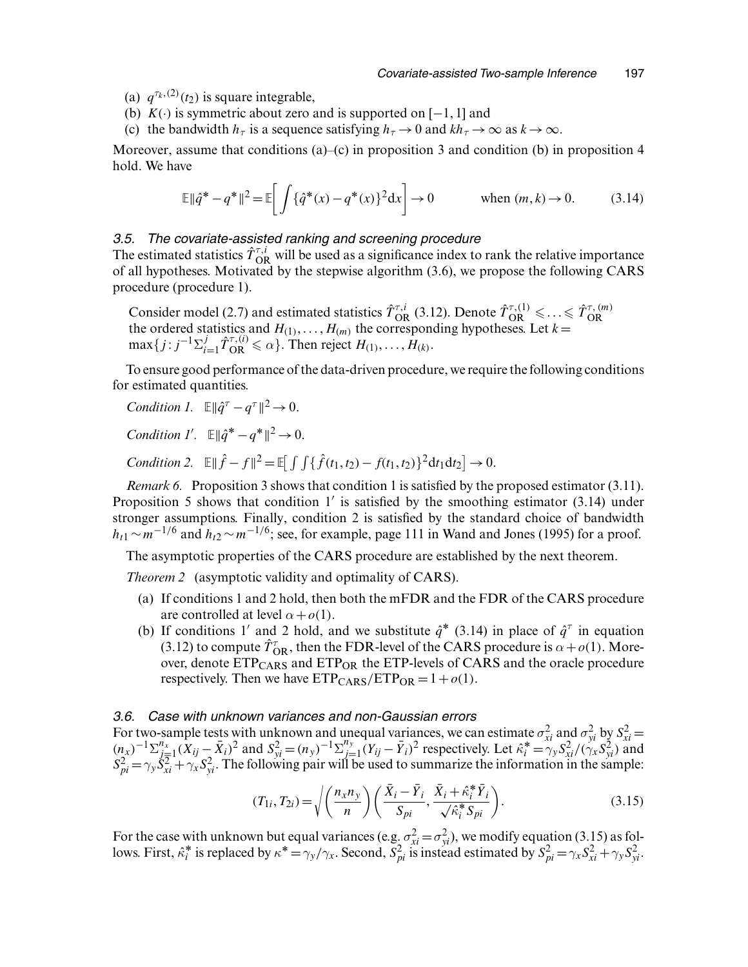- (a)  $q^{\tau_k,(2)}(t_2)$  is square integrable,
- (b)  $K(.)$  is symmetric about zero and is supported on [−1, 1] and
- (c) the bandwidth  $h_{\tau}$  is a sequence satisfying  $h_{\tau} \to 0$  and  $kh_{\tau} \to \infty$  as  $k \to \infty$ .

Moreover, assume that conditions  $(a)$ – $(c)$  in proposition 3 and condition (b) in proposition 4 hold. We have

$$
\mathbb{E} \|\hat{q}^* - q^*\|^2 = \mathbb{E} \bigg[ \int {\{\hat{q}^*(x) - q^*(x)\}^2 dx} \bigg] \to 0 \qquad \text{when } (m, k) \to 0. \tag{3.14}
$$

#### *3.5. The covariate-assisted ranking and screening procedure*

The estimated statistics  $\hat{T}_{OR}^{\tau,i}$  will be used as a significance index to rank the relative importance of all hypotheses. Motivated by the stepwise algorithm (3.6), we propose the following CARS procedure (procedure 1).

Consider model (2.7) and estimated statistics  $\hat{T}_{OR}^{\tau,i}$  (3.12). Denote  $\hat{T}_{OR}^{\tau,(1)} \leq \ldots \leq \hat{T}_{OR}^{\tau,(m)}$ <br>the ordered statistics and  $H_{(1)}, \ldots, H_{(m)}$  the corresponding hypotheses. Let  $k =$  $\max\{j : j^{-1}\Sigma_{i=1}^j \hat{T}_{OR}^{\tau,(i)} \leq \alpha\}$ . Then reject  $H_{(1)}, \ldots, H_{(k)}$ .

To ensure good performance of the data-driven procedure, we require the following conditions for estimated quantities.

*Condition 1.*  $\mathbb{E} \|\hat{q}^{\tau} - q^{\tau}\|^2 \to 0.$ 

*Condition 1'*.  $\mathbb{E} \|\hat{q}^* - q^*\|^2 \to 0$ .

*Condition 2.*  $\mathbb{E} \|\hat{f} - f\|^2 = \mathbb{E} \left[ \int \int {\{\hat{f}(t_1, t_2) - f(t_1, t_2)\} }^2 dt_1 dt_2 \right] \to 0.$ 

*Remark 6.* Proposition 3 shows that condition 1 is satisfied by the proposed estimator (3.11). Proposition 5 shows that condition  $1'$  is satisfied by the smoothing estimator (3.14) under stronger assumptions. Finally, condition 2 is satisfied by the standard choice of bandwidth  $h_{t1} \sim m^{-1/6}$  and  $h_{t2} \sim m^{-1/6}$ ; see, for example, page 111 in Wand and Jones (1995) for a proof.

The asymptotic properties of the CARS procedure are established by the next theorem.

*Theorem 2* (asymptotic validity and optimality of CARS).

- (a) If conditions 1 and 2 hold, then both the mFDR and the FDR of the CARS procedure are controlled at level  $\alpha + o(1)$ .
- (b) If conditions 1' and 2 hold, and we substitute  $\hat{q}^*$  (3.14) in place of  $\hat{q}^{\tau}$  in equation (3.12) to compute  $\hat{T}_{OR}$ , then the FDR-level of the CARS procedure is  $\alpha + o(1)$ . Moreover, denote  $ETP_{CARS}$  and  $ETP_{OR}$  the  $ETP$ -levels of CARS and the oracle procedure respectively. Then we have  $ETP_{CARS}/ETP_{OR} = 1 + o(1)$ .

#### *3.6. Case with unknown variances and non-Gaussian errors*

For two-sample tests with unknown and unequal variances, we can estimate  $\sigma_{xi}^2$  and  $\sigma_{yi}^2$  by  $S_{xi}^2 = (n_x)^{-1} \sum_{j=1}^{n_x} (X_{ij} - \bar{X}_i)^2$  and  $S_{yi}^2 = (n_y)^{-1} \sum_{j=1}^{n_y} (Y_{ij} - \bar{Y}_i)^2$  respectively. Let  $\hat{\kappa}_i^* = \gamma_y S$  $S_{pi}^2 = \gamma_y \dot{S}_{xi}^2 + \gamma_x S_{yi}^2$ . The following pair will be used to summarize the information in the sample:

$$
(T_{1i}, T_{2i}) = \sqrt{\left(\frac{n_x n_y}{n}\right)\left(\frac{\bar{X}_i - \bar{Y}_i}{S_{pi}}, \frac{\bar{X}_i + \hat{\kappa}_i^* \bar{Y}_i}{\sqrt{\hat{\kappa}_i^* S_{pi}}}\right)}.
$$
\n(3.15)

For the case with unknown but equal variances (e.g.  $\sigma_{xi}^2 = \sigma_{yi}^2$ ), we modify equation (3.15) as follows. First,  $\hat{\kappa}_i^*$  is replaced by  $\kappa^* = \gamma_y/\gamma_x$ . Second,  $S_{pi}^2$  is instead estimated by  $S_{pi}^2 = \gamma_x S_{xi}^2 + \gamma_y S_{yi}^2$ .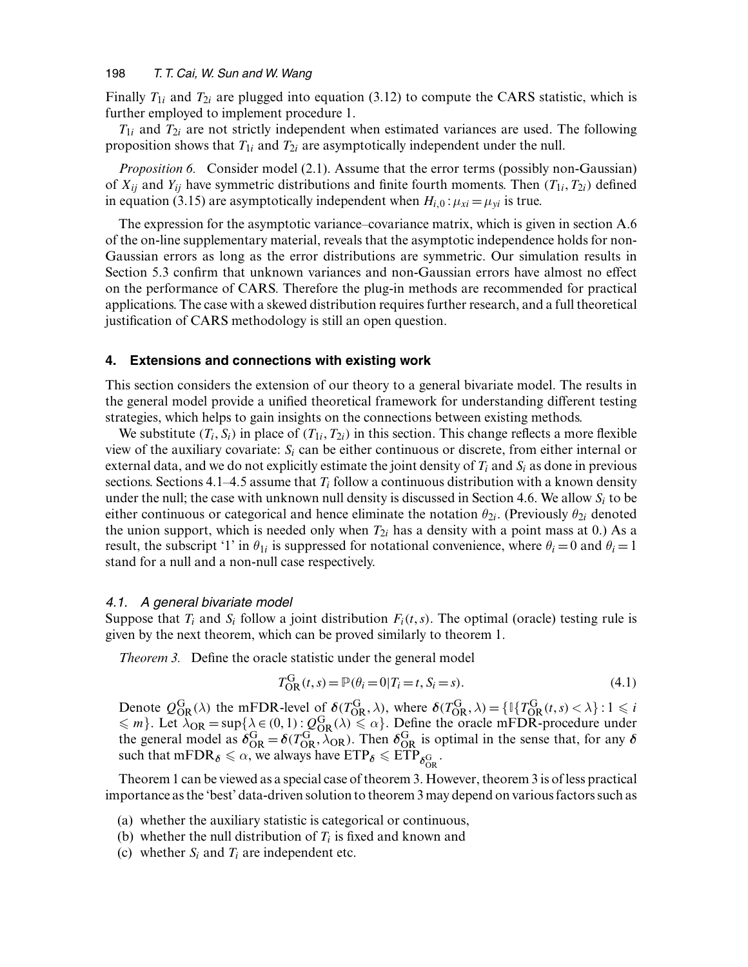Finally  $T_{1i}$  and  $T_{2i}$  are plugged into equation (3.12) to compute the CARS statistic, which is further employed to implement procedure 1.

 $T_{1i}$  and  $T_{2i}$  are not strictly independent when estimated variances are used. The following proposition shows that  $T_{1i}$  and  $T_{2i}$  are asymptotically independent under the null.

*Proposition 6.* Consider model (2.1). Assume that the error terms (possibly non-Gaussian) of  $X_{ij}$  and  $Y_{ij}$  have symmetric distributions and finite fourth moments. Then  $(T_{1i}, T_{2i})$  defined in equation (3.15) are asymptotically independent when  $H_{i,0}$ :  $\mu_{xi} = \mu_{yi}$  is true.

The expression for the asymptotic variance–covariance matrix, which is given in section A.6 of the on-line supplementary material, reveals that the asymptotic independence holds for non-Gaussian errors as long as the error distributions are symmetric. Our simulation results in Section 5.3 confirm that unknown variances and non-Gaussian errors have almost no effect on the performance of CARS. Therefore the plug-in methods are recommended for practical applications. The case with a skewed distribution requires further research, and a full theoretical justification of CARS methodology is still an open question.

#### **4. Extensions and connections with existing work**

This section considers the extension of our theory to a general bivariate model. The results in the general model provide a unified theoretical framework for understanding different testing strategies, which helps to gain insights on the connections between existing methods.

We substitute  $(T_i, S_i)$  in place of  $(T_{1i}, T_{2i})$  in this section. This change reflects a more flexible view of the auxiliary covariate:  $S_i$  can be either continuous or discrete, from either internal or external data, and we do not explicitly estimate the joint density of  $T_i$  and  $S_i$  as done in previous sections. Sections 4.1–4.5 assume that  $T_i$  follow a continuous distribution with a known density under the null; the case with unknown null density is discussed in Section 4.6. We allow  $S_i$  to be either continuous or categorical and hence eliminate the notation  $\theta_{2i}$ . (Previously  $\theta_{2i}$  denoted the union support, which is needed only when  $T_{2i}$  has a density with a point mass at 0.) As a result, the subscript '1' in  $\theta_{1i}$  is suppressed for notational convenience, where  $\theta_i = 0$  and  $\theta_i = 1$ stand for a null and a non-null case respectively.

#### *4.1. A general bivariate model*

Suppose that  $T_i$  and  $S_i$  follow a joint distribution  $F_i(t, s)$ . The optimal (oracle) testing rule is given by the next theorem, which can be proved similarly to theorem 1.

*Theorem 3.* Define the oracle statistic under the general model

$$
T_{\text{OR}}^{G}(t,s) = \mathbb{P}(\theta_i = 0 | T_i = t, S_i = s).
$$
\n(4.1)

Denote  $Q_{\text{OR}}^{\text{G}}(\lambda)$  the mFDR-level of  $\delta(T_{\text{OR}}^{\text{G}}, \lambda)$ , where  $\delta(T_{\text{OR}}^{\text{G}}, \lambda) = \{ \mathbb{I} \{ T_{\text{OR}}^{\text{G}}(t, s) < \lambda \} : 1 \leq i$  $\leq m$ . Let  $\lambda_{OR} = \sup{\{\lambda \in (0,1) : Q_{OR}^G(\lambda) \leq \alpha\}}$ . Define the oracle mFDR-procedure under the general model as  $\delta_{\rm OR}^G = \delta(T_{\rm OR}^G, \lambda_{\rm OR})$ . Then  $\delta_{\rm OR}^G$  is optimal in the sense that, for any  $\delta$ such that mFDR $\delta \leqslant \alpha$ , we always have  $\text{ETP}_{\delta} \leqslant \text{ETP}_{\delta^{\rm G}_{\rm OR}}$ .

Theorem 1 can be viewed as a special case of theorem 3. However, theorem 3 is of less practical importance as the 'best' data-driven solution to theorem 3 may depend on various factors such as

- (a) whether the auxiliary statistic is categorical or continuous,
- (b) whether the null distribution of  $T_i$  is fixed and known and
- (c) whether  $S_i$  and  $T_i$  are independent etc.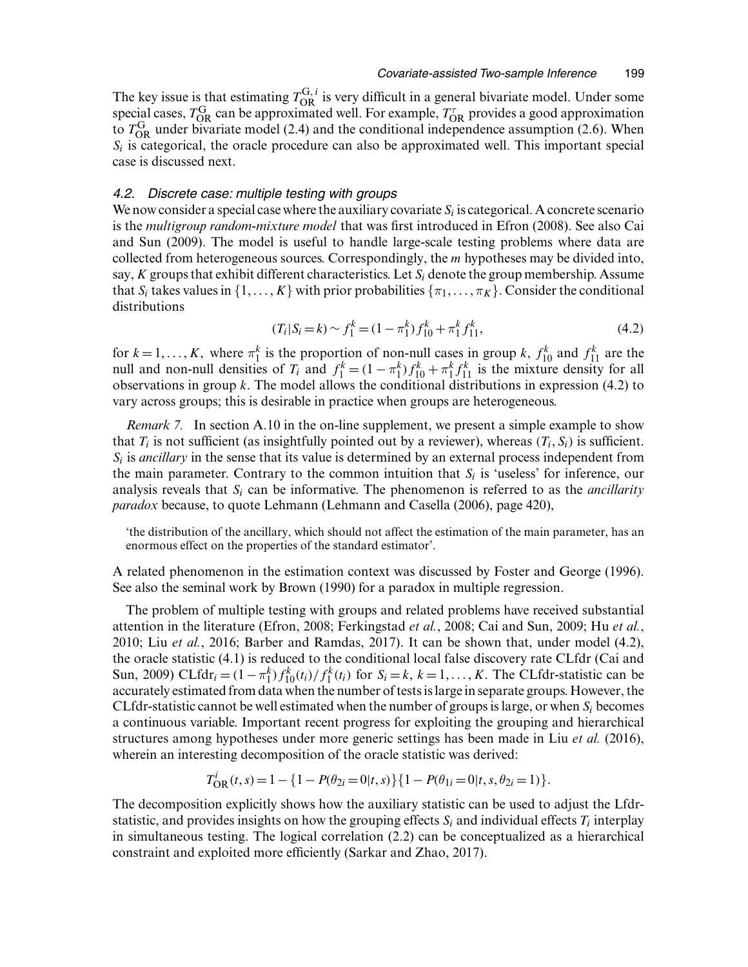The key issue is that estimating  $T_{OR}^{G,i}$  is very difficult in a general bivariate model. Under some special cases,  $T_{OR}$  can be approximated well. For example,  $T_{OR}^{\tau}$  provides a good approximation to  $T_{OR}$  under bivariate model (2.4) and the conditional independence assumption (2.6). When  $S_i$  is categorical, the oracle procedure can also be approximated well. This important special case is discussed next.

#### *4.2. Discrete case: multiple testing with groups*

We now consider a special case where the auxiliary covariate  $S_i$  is categorical. A concrete scenario is the *multigroup random-mixture model* that was first introduced in Efron (2008). See also Cai and Sun (2009). The model is useful to handle large-scale testing problems where data are collected from heterogeneous sources. Correspondingly, the m hypotheses may be divided into, say,  $K$  groups that exhibit different characteristics. Let  $S_i$  denote the group membership. Assume that  $S_i$  takes values in  $\{1, \ldots, K\}$  with prior probabilities  $\{\pi_1, \ldots, \pi_K\}$ . Consider the conditional distributions

$$
(T_i|S_i = k) \sim f_1^k = (1 - \pi_1^k) f_{10}^k + \pi_1^k f_{11}^k,
$$
\n(4.2)

for  $k = 1, ..., K$ , where  $\pi_1^k$  is the proportion of non-null cases in group k,  $f_{10}^k$  and  $f_{11}^k$  are the null and non-null densities of  $T_i$  and  $f_1^k = (1 - \pi_1^k) f_{10}^k + \pi_1^k f_{11}^k$  is the mixture density for all observations in group  $k$ . The model allows the conditional distributions in expression (4.2) to vary across groups; this is desirable in practice when groups are heterogeneous.

*Remark 7.* In section A.10 in the on-line supplement, we present a simple example to show that  $T_i$  is not sufficient (as insightfully pointed out by a reviewer), whereas  $(T_i, S_i)$  is sufficient.  $S_i$  is *ancillary* in the sense that its value is determined by an external process independent from the main parameter. Contrary to the common intuition that  $S_i$  is 'useless' for inference, our analysis reveals that  $S_i$  can be informative. The phenomenon is referred to as the *ancillarity paradox* because, to quote Lehmann (Lehmann and Casella (2006), page 420),

'the distribution of the ancillary, which should not affect the estimation of the main parameter, has an enormous effect on the properties of the standard estimator'.

A related phenomenon in the estimation context was discussed by Foster and George (1996). See also the seminal work by Brown (1990) for a paradox in multiple regression.

The problem of multiple testing with groups and related problems have received substantial attention in the literature (Efron, 2008; Ferkingstad *et al.*, 2008; Cai and Sun, 2009; Hu *et al.*, 2010; Liu *et al.*, 2016; Barber and Ramdas, 2017). It can be shown that, under model (4.2), the oracle statistic (4.1) is reduced to the conditional local false discovery rate CLfdr (Cai and Sun, 2009) CLfdr<sub>i</sub> =  $(1 - \pi_1^k) f_{10}^k(t_i) / f_1^k(t_i)$  for  $S_i = k, k = 1, ..., K$ . The CLfdr-statistic can be accurately estimated from data when the number of tests is large in separate groups. However, the CLfdr-statistic cannot be well estimated when the number of groups is large, or when  $S_i$  becomes a continuous variable. Important recent progress for exploiting the grouping and hierarchical structures among hypotheses under more generic settings has been made in Liu *et al.* (2016), wherein an interesting decomposition of the oracle statistic was derived:

$$
T_{\rm OR}^i(t,s) = 1 - \{1 - P(\theta_{2i} = 0 | t, s)\}\{1 - P(\theta_{1i} = 0 | t, s, \theta_{2i} = 1)\}.
$$

The decomposition explicitly shows how the auxiliary statistic can be used to adjust the Lfdrstatistic, and provides insights on how the grouping effects  $S_i$  and individual effects  $T_i$  interplay in simultaneous testing. The logical correlation (2.2) can be conceptualized as a hierarchical constraint and exploited more efficiently (Sarkar and Zhao, 2017).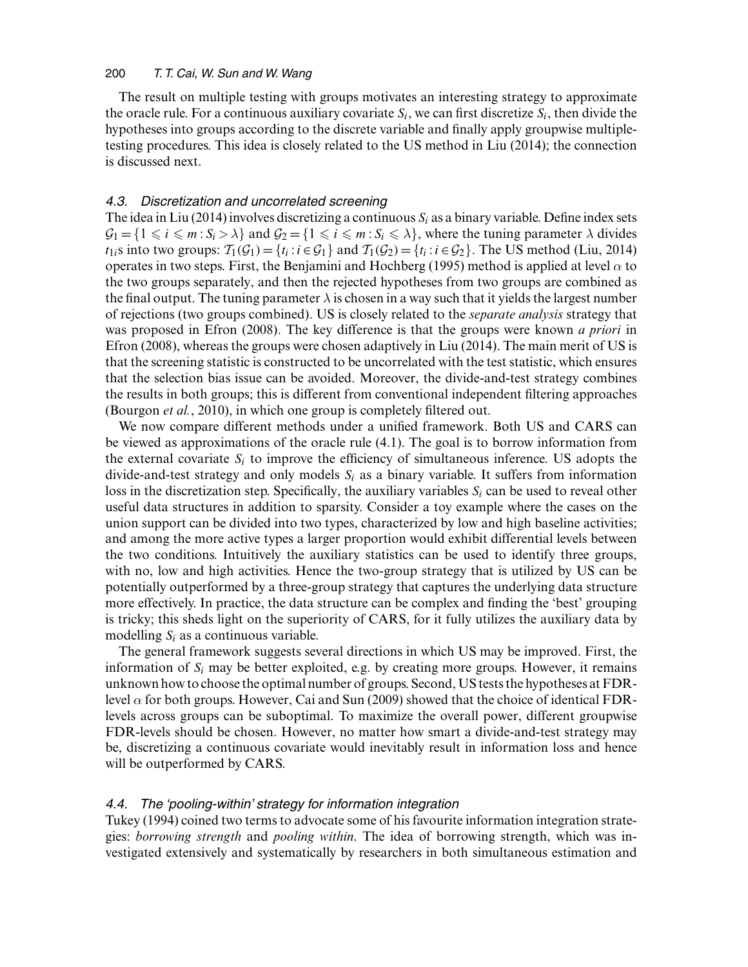The result on multiple testing with groups motivates an interesting strategy to approximate the oracle rule. For a continuous auxiliary covariate  $S_i$ , we can first discretize  $S_i$ , then divide the hypotheses into groups according to the discrete variable and finally apply groupwise multipletesting procedures. This idea is closely related to the US method in Liu (2014); the connection is discussed next.

# *4.3. Discretization and uncorrelated screening*

The idea in Liu (2014) involves discretizing a continuous  $S_i$  as a binary variable. Define index sets  $G_1 = \{1 \le i \le m : S_i > \lambda\}$  and  $G_2 = \{1 \le i \le m : S_i \le \lambda\}$ , where the tuning parameter  $\lambda$  divides  $t_{1i}$ s into two groups:  $\mathcal{T}_1(\mathcal{G}_1) = \{t_i : i \in \mathcal{G}_1\}$  and  $\mathcal{T}_1(\mathcal{G}_2) = \{t_i : i \in \mathcal{G}_2\}$ . The US method (Liu, 2014) operates in two steps. First, the Benjamini and Hochberg (1995) method is applied at level  $\alpha$  to the two groups separately, and then the rejected hypotheses from two groups are combined as the final output. The tuning parameter  $\lambda$  is chosen in a way such that it yields the largest number of rejections (two groups combined). US is closely related to the *separate analysis* strategy that was proposed in Efron (2008). The key difference is that the groups were known *a priori* in Efron (2008), whereas the groups were chosen adaptively in Liu (2014). The main merit of US is that the screening statistic is constructed to be uncorrelated with the test statistic, which ensures that the selection bias issue can be avoided. Moreover, the divide-and-test strategy combines the results in both groups; this is different from conventional independent filtering approaches (Bourgon *et al.*, 2010), in which one group is completely filtered out.

We now compare different methods under a unified framework. Both US and CARS can be viewed as approximations of the oracle rule (4.1). The goal is to borrow information from the external covariate  $S_i$  to improve the efficiency of simultaneous inference. US adopts the divide-and-test strategy and only models  $S_i$  as a binary variable. It suffers from information loss in the discretization step. Specifically, the auxiliary variables  $S_i$  can be used to reveal other useful data structures in addition to sparsity. Consider a toy example where the cases on the union support can be divided into two types, characterized by low and high baseline activities; and among the more active types a larger proportion would exhibit differential levels between the two conditions. Intuitively the auxiliary statistics can be used to identify three groups, with no, low and high activities. Hence the two-group strategy that is utilized by US can be potentially outperformed by a three-group strategy that captures the underlying data structure more effectively. In practice, the data structure can be complex and finding the 'best' grouping is tricky; this sheds light on the superiority of CARS, for it fully utilizes the auxiliary data by modelling  $S_i$  as a continuous variable.

The general framework suggests several directions in which US may be improved. First, the information of  $S_i$  may be better exploited, e.g. by creating more groups. However, it remains unknown how to choose the optimal number of groups. Second, US tests the hypotheses at FDRlevel  $\alpha$  for both groups. However, Cai and Sun (2009) showed that the choice of identical FDRlevels across groups can be suboptimal. To maximize the overall power, different groupwise FDR-levels should be chosen. However, no matter how smart a divide-and-test strategy may be, discretizing a continuous covariate would inevitably result in information loss and hence will be outperformed by CARS.

# *4.4. The 'pooling-within' strategy for information integration*

Tukey (1994) coined two terms to advocate some of his favourite information integration strategies: *borrowing strength* and *pooling within*. The idea of borrowing strength, which was investigated extensively and systematically by researchers in both simultaneous estimation and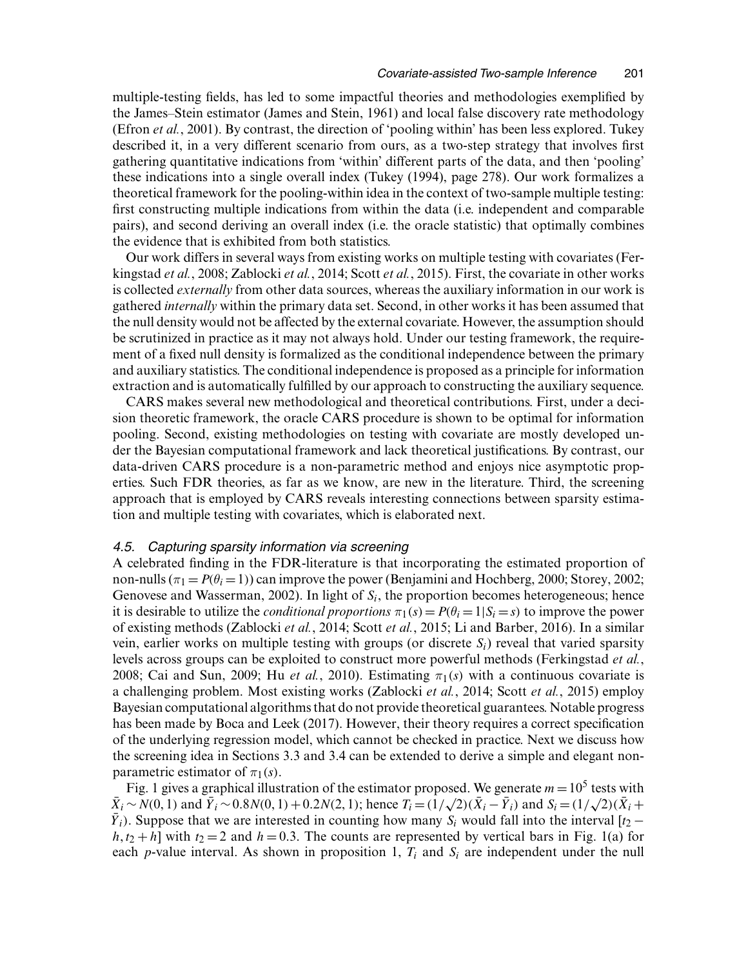multiple-testing fields, has led to some impactful theories and methodologies exemplified by the James–Stein estimator (James and Stein, 1961) and local false discovery rate methodology (Efron *et al.*, 2001). By contrast, the direction of 'pooling within' has been less explored. Tukey described it, in a very different scenario from ours, as a two-step strategy that involves first gathering quantitative indications from 'within' different parts of the data, and then 'pooling' these indications into a single overall index (Tukey (1994), page 278). Our work formalizes a theoretical framework for the pooling-within idea in the context of two-sample multiple testing: first constructing multiple indications from within the data (i.e. independent and comparable pairs), and second deriving an overall index (i.e. the oracle statistic) that optimally combines the evidence that is exhibited from both statistics.

Our work differs in several ways from existing works on multiple testing with covariates (Ferkingstad *et al.*, 2008; Zablocki *et al.*, 2014; Scott *et al.*, 2015). First, the covariate in other works is collected *externally* from other data sources, whereas the auxiliary information in our work is gathered *internally* within the primary data set. Second, in other works it has been assumed that the null density would not be affected by the external covariate. However, the assumption should be scrutinized in practice as it may not always hold. Under our testing framework, the requirement of a fixed null density is formalized as the conditional independence between the primary and auxiliary statistics. The conditional independence is proposed as a principle for information extraction and is automatically fulfilled by our approach to constructing the auxiliary sequence.

CARS makes several new methodological and theoretical contributions. First, under a decision theoretic framework, the oracle CARS procedure is shown to be optimal for information pooling. Second, existing methodologies on testing with covariate are mostly developed under the Bayesian computational framework and lack theoretical justifications. By contrast, our data-driven CARS procedure is a non-parametric method and enjoys nice asymptotic properties. Such FDR theories, as far as we know, are new in the literature. Third, the screening approach that is employed by CARS reveals interesting connections between sparsity estimation and multiple testing with covariates, which is elaborated next.

# *4.5. Capturing sparsity information via screening*

A celebrated finding in the FDR-literature is that incorporating the estimated proportion of non-nulls ( $\pi_1 = P(\theta_i = 1)$ ) can improve the power (Benjamini and Hochberg, 2000; Storey, 2002; Genovese and Wasserman, 2002). In light of  $S_i$ , the proportion becomes heterogeneous; hence it is desirable to utilize the *conditional proportions*  $\pi_1(s) = P(\theta_i = 1 | S_i = s)$  to improve the power of existing methods (Zablocki *et al.*, 2014; Scott *et al.*, 2015; Li and Barber, 2016). In a similar vein, earlier works on multiple testing with groups (or discrete  $S_i$ ) reveal that varied sparsity levels across groups can be exploited to construct more powerful methods (Ferkingstad *et al.*, 2008; Cai and Sun, 2009; Hu *et al.*, 2010). Estimating  $\pi_1(s)$  with a continuous covariate is a challenging problem. Most existing works (Zablocki *et al.*, 2014; Scott *et al.*, 2015) employ Bayesian computational algorithms that do not provide theoretical guarantees. Notable progress has been made by Boca and Leek (2017). However, their theory requires a correct specification of the underlying regression model, which cannot be checked in practice. Next we discuss how the screening idea in Sections 3.3 and 3.4 can be extended to derive a simple and elegant nonparametric estimator of  $\pi_1(s)$ .

Fig. 1 gives a graphical illustration of the estimator proposed. We generate  $m=10^5$  tests with  $\bar{X}_i \sim N(0, 1)$  and  $\bar{Y}_i \sim 0.8N(0, 1) + 0.2N(2, 1)$ ; hence  $T_i = (1/\sqrt{2})(\bar{X}_i - \bar{Y}_i)$  and  $S_i = (1/\sqrt{2})(\bar{X}_i +$  $Y_i$ ). Suppose that we are interested in counting how many  $S_i$  would fall into the interval  $[t_2$  $h, t_2 + h$ ] with  $t_2 = 2$  and  $h = 0.3$ . The counts are represented by vertical bars in Fig. 1(a) for each p-value interval. As shown in proposition 1,  $T_i$  and  $S_i$  are independent under the null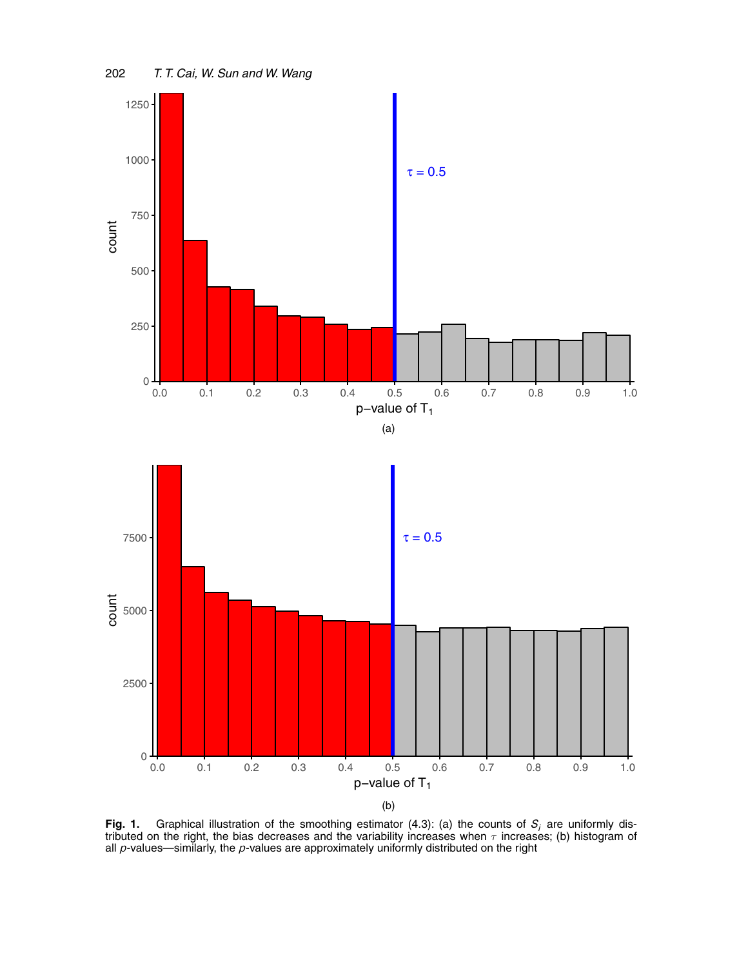

**Fig. 1.** Graphical illustration of the smoothing estimator (4.3): (a) the counts of  $S_i$  are uniformly distributed on the right, the bias decreases and the variability increases when  $\tau$  increases; (b) histogram of all *p*-values—similarly, the *p*-values are approximately uniformly distributed on the right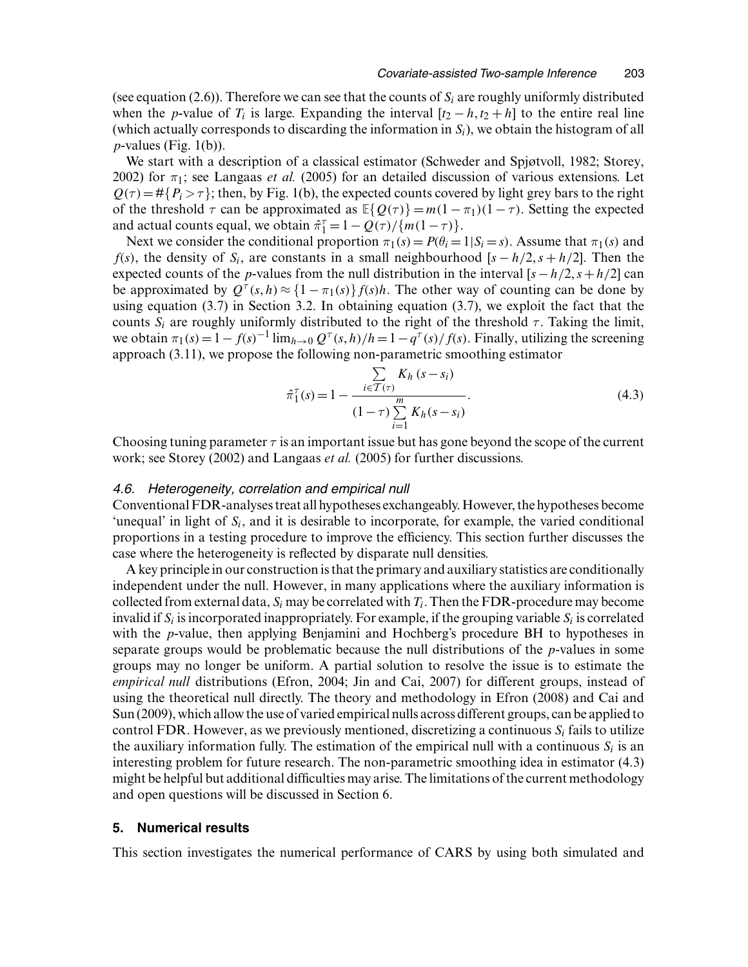(see equation (2.6)). Therefore we can see that the counts of  $S_i$  are roughly uniformly distributed when the p-value of  $T_i$  is large. Expanding the interval  $[t_2 - h, t_2 + h]$  to the entire real line (which actually corresponds to discarding the information in  $S_i$ ), we obtain the histogram of all  $p$ -values (Fig. 1(b)).

We start with a description of a classical estimator (Schweder and Spjøtvoll, 1982; Storey, 2002) for  $\pi_1$ ; see Langaas *et al.* (2005) for an detailed discussion of various extensions. Let  $Q(\tau) = #{P_i > \tau}$ ; then, by Fig. 1(b), the expected counts covered by light grey bars to the right of the threshold  $\tau$  can be approximated as  $\mathbb{E}\{Q(\tau)\} = m(1 - \pi_1)(1 - \tau)$ . Setting the expected and actual counts equal, we obtain  $\hat{\pi}_1^{\tau} = 1 - Q(\tau) / \{m(1-\tau)\}.$ 

Next we consider the conditional proportion  $\pi_1(s) = P(\theta_i = 1|S_i = s)$ . Assume that  $\pi_1(s)$  and  $f(s)$ , the density of  $S_i$ , are constants in a small neighbourhood  $[s - h/2, s + h/2]$ . Then the expected counts of the *p*-values from the null distribution in the interval  $[s-h/2,s+h/2]$  can be approximated by  $Q^{\tau}(s, h) \approx \{1 - \pi_1(s)\} f(s)h$ . The other way of counting can be done by using equation (3.7) in Section 3.2. In obtaining equation (3.7), we exploit the fact that the counts  $S_i$  are roughly uniformly distributed to the right of the threshold  $\tau$ . Taking the limit, we obtain  $\pi_1(s) = 1 - f(s)^{-1} \lim_{h\to 0} Q^{\tau}(s, h)/h = 1 - q^{\tau}(s)/f(s)$ . Finally, utilizing the screening approach (3.11), we propose the following non-parametric smoothing estimator

$$
\hat{\pi}_1^{\tau}(s) = 1 - \frac{\sum\limits_{i \in \mathcal{T}(\tau)} K_h (s - s_i)}{(1 - \tau) \sum\limits_{i=1}^m K_h (s - s_i)}.
$$
\n(4.3)

Choosing tuning parameter  $\tau$  is an important issue but has gone beyond the scope of the current work; see Storey (2002) and Langaas *et al.* (2005) for further discussions.

## *4.6. Heterogeneity, correlation and empirical null*

Conventional FDR-analyses treat all hypotheses exchangeably. However, the hypotheses become 'unequal' in light of  $S_i$ , and it is desirable to incorporate, for example, the varied conditional proportions in a testing procedure to improve the efficiency. This section further discusses the case where the heterogeneity is reflected by disparate null densities.

A key principle in our construction is that the primary and auxiliary statistics are conditionally independent under the null. However, in many applications where the auxiliary information is collected from external data,  $S_i$  may be correlated with  $T_i$ . Then the FDR-procedure may become invalid if  $S_i$  is incorporated inappropriately. For example, if the grouping variable  $S_i$  is correlated with the *p*-value, then applying Benjamini and Hochberg's procedure BH to hypotheses in separate groups would be problematic because the null distributions of the p-values in some groups may no longer be uniform. A partial solution to resolve the issue is to estimate the *empirical null* distributions (Efron, 2004; Jin and Cai, 2007) for different groups, instead of using the theoretical null directly. The theory and methodology in Efron (2008) and Cai and Sun (2009), which allow the use of varied empirical nulls across different groups, can be applied to control FDR. However, as we previously mentioned, discretizing a continuous  $S_i$  fails to utilize the auxiliary information fully. The estimation of the empirical null with a continuous  $S_i$  is an interesting problem for future research. The non-parametric smoothing idea in estimator (4.3) might be helpful but additional difficulties may arise. The limitations of the current methodology and open questions will be discussed in Section 6.

#### **5. Numerical results**

This section investigates the numerical performance of CARS by using both simulated and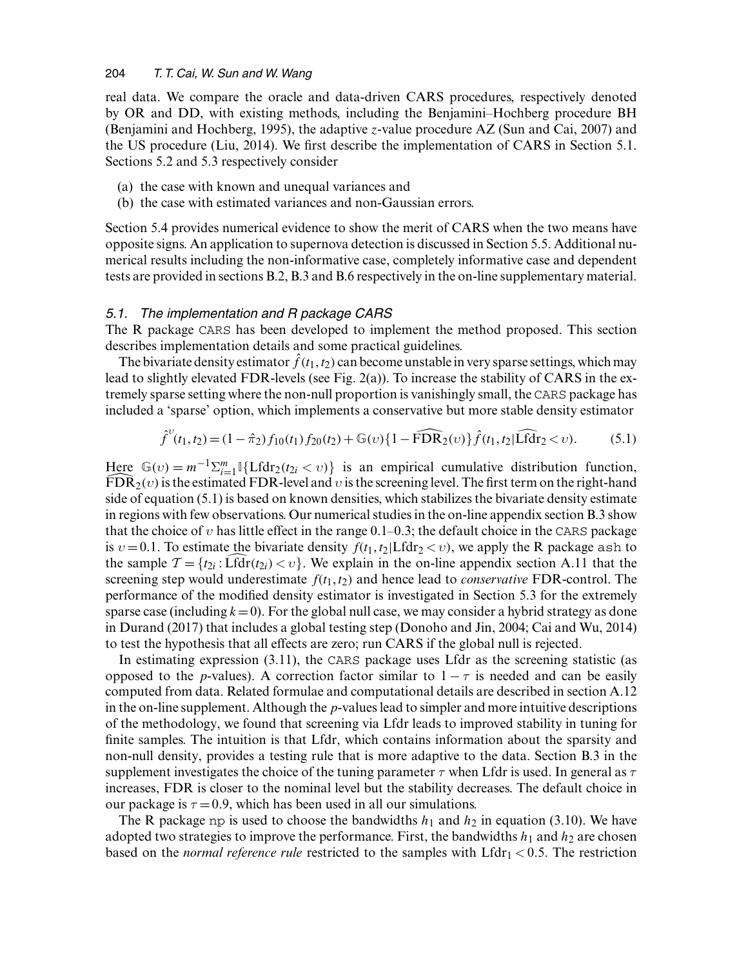real data. We compare the oracle and data-driven CARS procedures, respectively denoted by OR and DD, with existing methods, including the Benjamini–Hochberg procedure BH (Benjamini and Hochberg, 1995), the adaptive z-value procedure AZ (Sun and Cai, 2007) and the US procedure (Liu, 2014). We first describe the implementation of CARS in Section 5.1. Sections 5.2 and 5.3 respectively consider

- (a) the case with known and unequal variances and
- (b) the case with estimated variances and non-Gaussian errors.

Section 5.4 provides numerical evidence to show the merit of CARS when the two means have opposite signs. An application to supernova detection is discussed in Section 5.5. Additional numerical results including the non-informative case, completely informative case and dependent tests are provided in sections B.2, B.3 and B.6 respectively in the on-line supplementary material.

## *5.1. The implementation and R package CARS*

The R package CARS has been developed to implement the method proposed. This section describes implementation details and some practical guidelines.

The bivariate density estimator  $\hat{f}(t_1, t_2)$  can become unstable in very sparse settings, which may lead to slightly elevated FDR-levels (see Fig. 2(a)). To increase the stability of CARS in the extremely sparse setting where the non-null proportion is vanishingly small, the CARS package has included a 'sparse' option, which implements a conservative but more stable density estimator

$$
\hat{f}^{v}(t_1, t_2) = (1 - \hat{\pi}_2) f_{10}(t_1) f_{20}(t_2) + \mathbb{G}(v) \{1 - \widehat{\text{FDR}}_2(v)\} \hat{f}(t_1, t_2 | \widehat{\text{Lfdr}}_2 < v). \tag{5.1}
$$

Here  $\mathbb{G}(v) = m^{-1} \sum_{i=1}^{m} \left\{ \text{Lfdr}_2(t_{2i} < v) \right\}$  is an empirical cumulative distribution function,  $\widehat{FDR}_2(v)$  is the estimated FDR-level and v is the screening level. The first term on the right-hand side of equation (5.1) is based on known densities, which stabilizes the bivariate density estimate in regions with few observations. Our numerical studies in the on-line appendix section B.3 show that the choice of v has little effect in the range  $0.1-0.3$ ; the default choice in the CARS package is  $v = 0.1$ . To estimate the bivariate density  $f(t_1, t_2 | Lfdr_2 < v)$ , we apply the R package ash to the sample  $\mathcal{T} = \{t_{2i} : \text{Lfdr}(t_{2i}) < v\}$ . We explain in the on-line appendix section A.11 that the screening step would underestimate  $f(t_1, t_2)$  and hence lead to *conservative* FDR-control. The performance of the modified density estimator is investigated in Section 5.3 for the extremely sparse case (including  $k=0$ ). For the global null case, we may consider a hybrid strategy as done in Durand (2017) that includes a global testing step (Donoho and Jin, 2004; Cai and Wu, 2014) to test the hypothesis that all effects are zero; run CARS if the global null is rejected.

In estimating expression (3.11), the CARS package uses Lfdr as the screening statistic (as opposed to the *p*-values). A correction factor similar to  $1 - \tau$  is needed and can be easily computed from data. Related formulae and computational details are described in section A.12 in the on-line supplement. Although the p-values lead to simpler and more intuitive descriptions of the methodology, we found that screening via Lfdr leads to improved stability in tuning for finite samples. The intuition is that Lfdr, which contains information about the sparsity and non-null density, provides a testing rule that is more adaptive to the data. Section B.3 in the supplement investigates the choice of the tuning parameter  $\tau$  when Lfdr is used. In general as  $\tau$ increases, FDR is closer to the nominal level but the stability decreases. The default choice in our package is  $\tau = 0.9$ , which has been used in all our simulations.

The R package np is used to choose the bandwidths  $h_1$  and  $h_2$  in equation (3.10). We have adopted two strategies to improve the performance. First, the bandwidths  $h_1$  and  $h_2$  are chosen based on the *normal reference rule* restricted to the samples with  $Lfdr_1 < 0.5$ . The restriction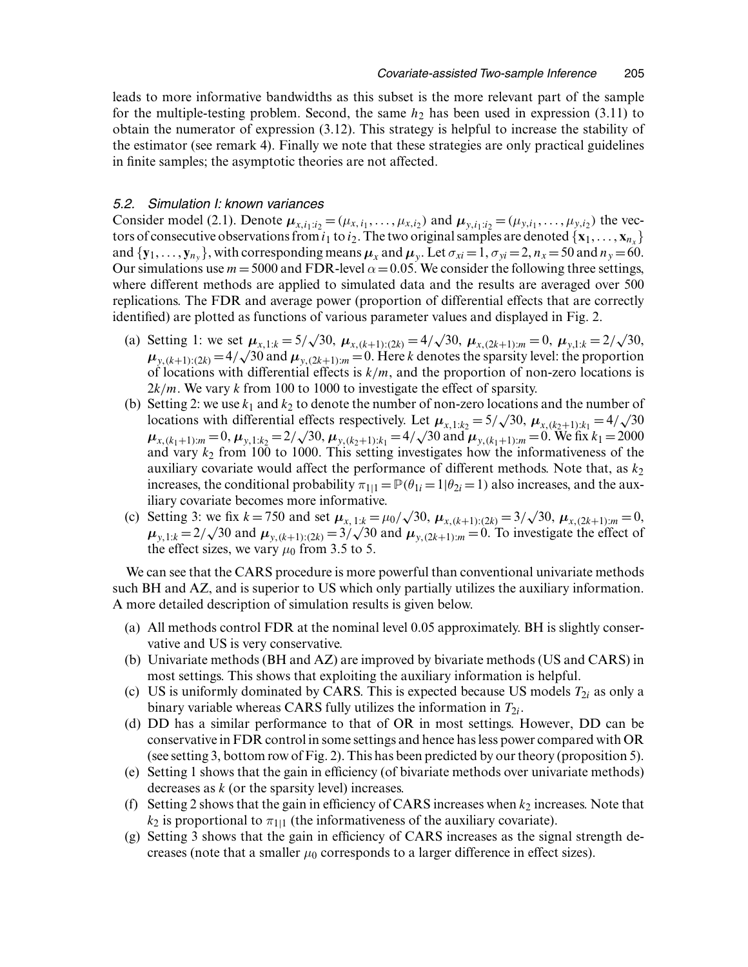leads to more informative bandwidths as this subset is the more relevant part of the sample for the multiple-testing problem. Second, the same  $h_2$  has been used in expression (3.11) to obtain the numerator of expression (3.12). This strategy is helpful to increase the stability of the estimator (see remark 4). Finally we note that these strategies are only practical guidelines in finite samples; the asymptotic theories are not affected.

# *5.2. Simulation I: known variances*

Consider model (2.1). Denote  $\mu_{x,i_1:i_2} = (\mu_{x,i_1}, \dots, \mu_{x,i_2})$  and  $\mu_{y,i_1:i_2} = (\mu_{y,i_1}, \dots, \mu_{y,i_2})$  the vectors of consecutive observations from  $i_1$  to  $i_2$ . The two original samples are denoted  $\{x_1, \ldots, x_{n_x}\}$ and  $\{y_1, \ldots, y_{n_y}\}$ , with corresponding means  $\mu_x$  and  $\mu_y$ . Let  $\sigma_{xi} = 1$ ,  $\sigma_{yi} = 2$ ,  $n_x = 50$  and  $n_y = 60$ . Our simulations use  $m = 5000$  and FDR-level  $\alpha = 0.05$ . We consider the following three settings, where different methods are applied to simulated data and the results are averaged over 500 replications. The FDR and average power (proportion of differential effects that are correctly identified) are plotted as functions of various parameter values and displayed in Fig. 2.

- (a) Setting 1: we set  $\mu_{x,1:k} = 5/\sqrt{30}$ ,  $\mu_{x,(k+1):(2k)} = 4/\sqrt{30}$ ,  $\mu_{x,(2k+1):m} = 0$ ,  $\mu_{y,1:k} = 2/\sqrt{30}$ ,  $\mu_{y,(k+1):(2k)} = 4/\sqrt{30}$  and  $\mu_{y,(2k+1):m} = 0$ . Here k denotes the sparsity level: the proportion of locations with differential effects is  $k/m$ , and the proportion of non-zero locations is  $2k/m$ . We vary k from 100 to 1000 to investigate the effect of sparsity.
- (b) Setting 2: we use  $k_1$  and  $k_2$  to denote the number of non-zero locations and the number of locations with differential effects respectively. Let  $\mu_{x,1:k_2} = 5/\sqrt{30}$ ,  $\mu_{x,(k_2+1):k_1} = 4/\sqrt{30}$  $\mu_{x,(k_1+1):m} = 0, \mu_{y,1:k_2} = 2/\sqrt{30}, \mu_{y,(k_2+1):k_1} = 4/\sqrt{30}$  and  $\mu_{y,(k_1+1):m} = 0$ . We fix  $k_1 = 2000$ and vary  $k_2$  from 100 to 1000. This setting investigates how the informativeness of the auxiliary covariate would affect the performance of different methods. Note that, as  $k_2$ increases, the conditional probability  $\pi_{11} = \mathbb{P}(\theta_{1i} = 1 | \theta_{2i} = 1)$  also increases, and the auxiliary covariate becomes more informative.
- (c) Setting 3: we fix  $k = 750$  and set  $\mu_{x, 1:k} = \mu_0 / \sqrt{30}$ ,  $\mu_{x,(k+1):(2k)} = 3/\sqrt{30}$ ,  $\mu_{x,(2k+1):m} = 0$ ,  $\mu_{y,1:k} = 2/\sqrt{30}$  and  $\mu_{y,(k+1):(2k)} = 3/\sqrt{30}$  and  $\mu_{y,(2k+1):m} = 0$ . To investigate the effect of the effect sizes, we vary  $\mu_0$  from 3.5 to 5.

We can see that the CARS procedure is more powerful than conventional univariate methods such BH and AZ, and is superior to US which only partially utilizes the auxiliary information. A more detailed description of simulation results is given below.

- (a) All methods control FDR at the nominal level 0.05 approximately. BH is slightly conservative and US is very conservative.
- (b) Univariate methods (BH and AZ) are improved by bivariate methods (US and CARS) in most settings. This shows that exploiting the auxiliary information is helpful.
- (c) US is uniformly dominated by CARS. This is expected because US models  $T_{2i}$  as only a binary variable whereas CARS fully utilizes the information in  $T_{2i}$ .
- (d) DD has a similar performance to that of OR in most settings. However, DD can be conservative in FDR control in some settings and hence has less power compared with OR (see setting 3, bottom row of Fig. 2). This has been predicted by our theory (proposition 5).
- (e) Setting 1 shows that the gain in efficiency (of bivariate methods over univariate methods) decreases as k (or the sparsity level) increases.
- (f) Setting 2 shows that the gain in efficiency of CARS increases when  $k_2$  increases. Note that  $k_2$  is proportional to  $\pi_{1|1}$  (the informativeness of the auxiliary covariate).
- (g) Setting 3 shows that the gain in efficiency of CARS increases as the signal strength decreases (note that a smaller  $\mu_0$  corresponds to a larger difference in effect sizes).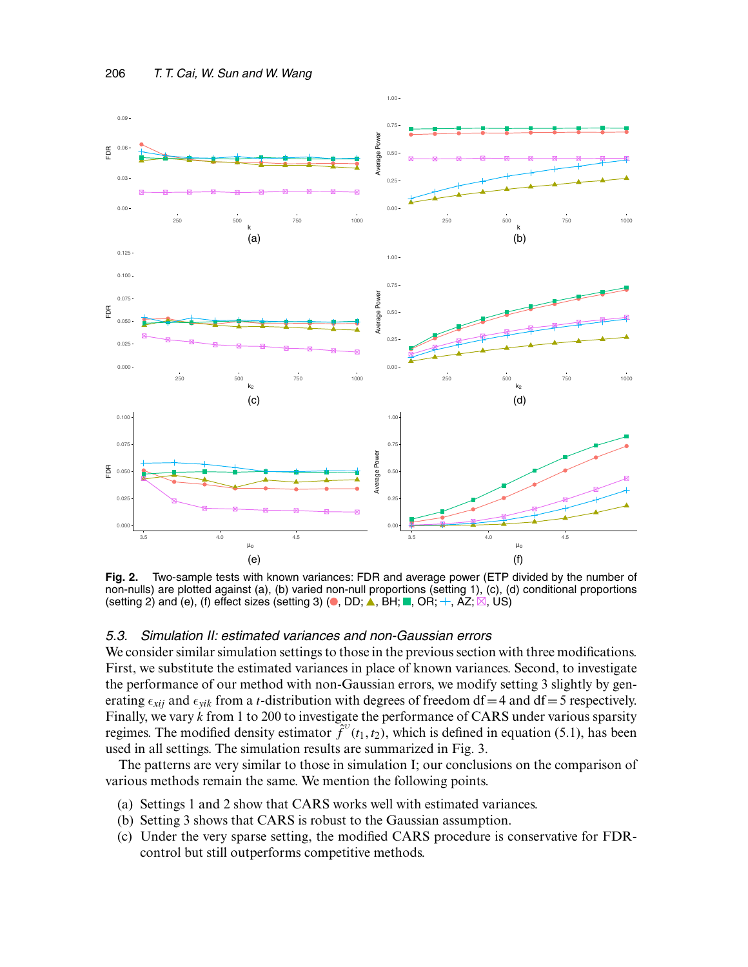

**Fig. 2.** Two-sample tests with known variances: FDR and average power (ETP divided by the number of non-nulls) are plotted against (a), (b) varied non-null proportions (setting 1), (c), (d) conditional proportions (setting 2) and (e), (f) effect sizes (setting 3) ( $\bullet$ , DD;  $\blacktriangle$ , BH;  $\blacksquare$ , OR;  $\pm$ , AZ;  $\boxtimes$ , US)

# *5.3. Simulation II: estimated variances and non-Gaussian errors*

We consider similar simulation settings to those in the previous section with three modifications. First, we substitute the estimated variances in place of known variances. Second, to investigate the performance of our method with non-Gaussian errors, we modify setting 3 slightly by generating  $\epsilon_{xii}$  and  $\epsilon_{vik}$  from a *t*-distribution with degrees of freedom df = 4 and df = 5 respectively. Finally, we vary k from 1 to 200 to investigate the performance of CARS under various sparsity regimes. The modified density estimator  $\hat{f}^v(t_1, t_2)$ , which is defined in equation (5.1), has been used in all settings. The simulation results are summarized in Fig. 3.

The patterns are very similar to those in simulation I; our conclusions on the comparison of various methods remain the same. We mention the following points.

- (a) Settings 1 and 2 show that CARS works well with estimated variances.
- (b) Setting 3 shows that CARS is robust to the Gaussian assumption.
- (c) Under the very sparse setting, the modified CARS procedure is conservative for FDRcontrol but still outperforms competitive methods.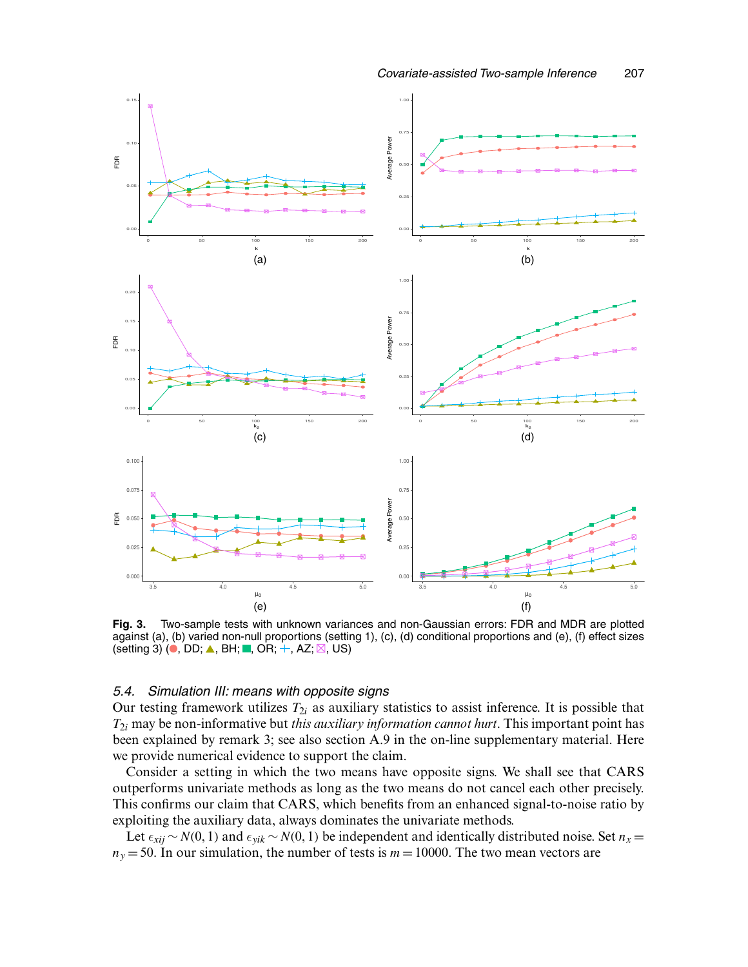

**Fig. 3.** Two-sample tests with unknown variances and non-Gaussian errors: FDR and MDR are plotted against (a), (b) varied non-null proportions (setting 1), (c), (d) conditional proportions and (e), (f) effect sizes (setting 3) ( $\bullet$ , DD;  $\blacktriangle$ , BH; , OR; +, AZ;  $\boxtimes$ , US)

# *5.4. Simulation III: means with opposite signs*

Our testing framework utilizes  $T_{2i}$  as auxiliary statistics to assist inference. It is possible that T2<sup>i</sup> may be non-informative but *this auxiliary information cannot hurt*. This important point has been explained by remark 3; see also section A.9 in the on-line supplementary material. Here we provide numerical evidence to support the claim.

Consider a setting in which the two means have opposite signs. We shall see that CARS outperforms univariate methods as long as the two means do not cancel each other precisely. This confirms our claim that CARS, which benefits from an enhanced signal-to-noise ratio by exploiting the auxiliary data, always dominates the univariate methods.

Let  $\epsilon_{xij} \sim N(0, 1)$  and  $\epsilon_{yik} \sim N(0, 1)$  be independent and identically distributed noise. Set  $n_x =$  $n<sub>y</sub> = 50$ . In our simulation, the number of tests is  $m = 10000$ . The two mean vectors are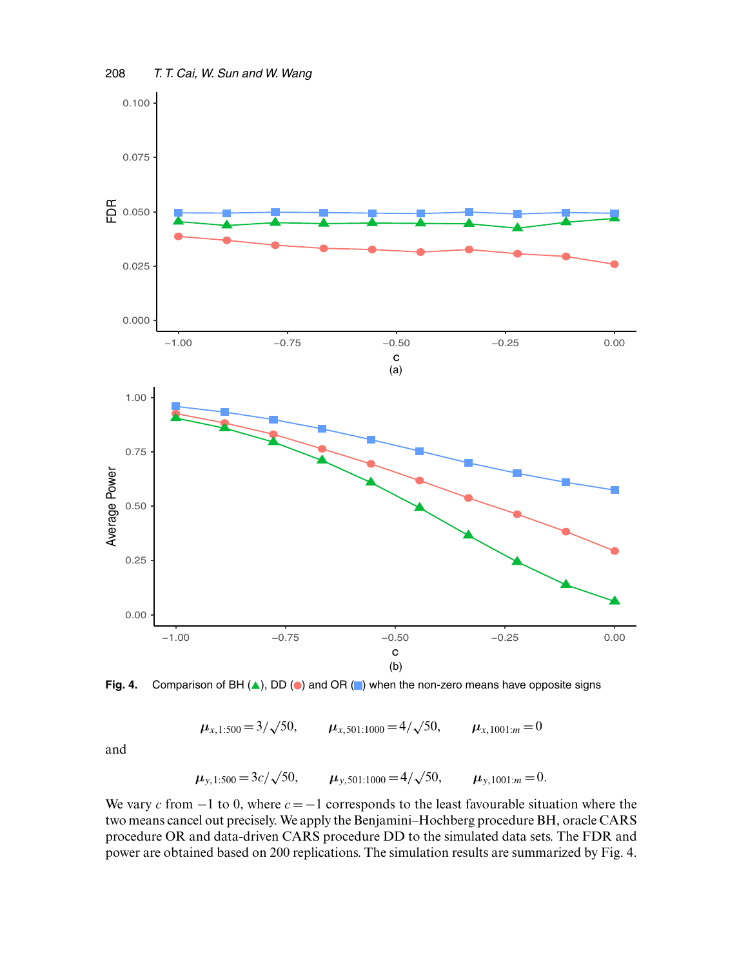

Fig. 4. Comparison of BH (A), DD (<sup>o</sup>) and OR ( $\Box$ ) when the non-zero means have opposite signs

 $\mu_{x,1:500} = 3/\sqrt{50}$ ,  $\mu_{x, 501:1000} = 4/\sqrt{50}$ ,  $\mu_{x,1001:m} = 0$ 

and

$$
\mu_{y,1:500} = 3c/\sqrt{50},
$$
  $\mu_{y,501:1000} = 4/\sqrt{50},$   $\mu_{y,1001:m} = 0.$ 

We vary c from  $-1$  to 0, where  $c = -1$  corresponds to the least favourable situation where the two means cancel out precisely. We apply the Benjamini–Hochberg procedure BH, oracle CARS procedure OR and data-driven CARS procedure DD to the simulated data sets. The FDR and power are obtained based on 200 replications. The simulation results are summarized by Fig. 4.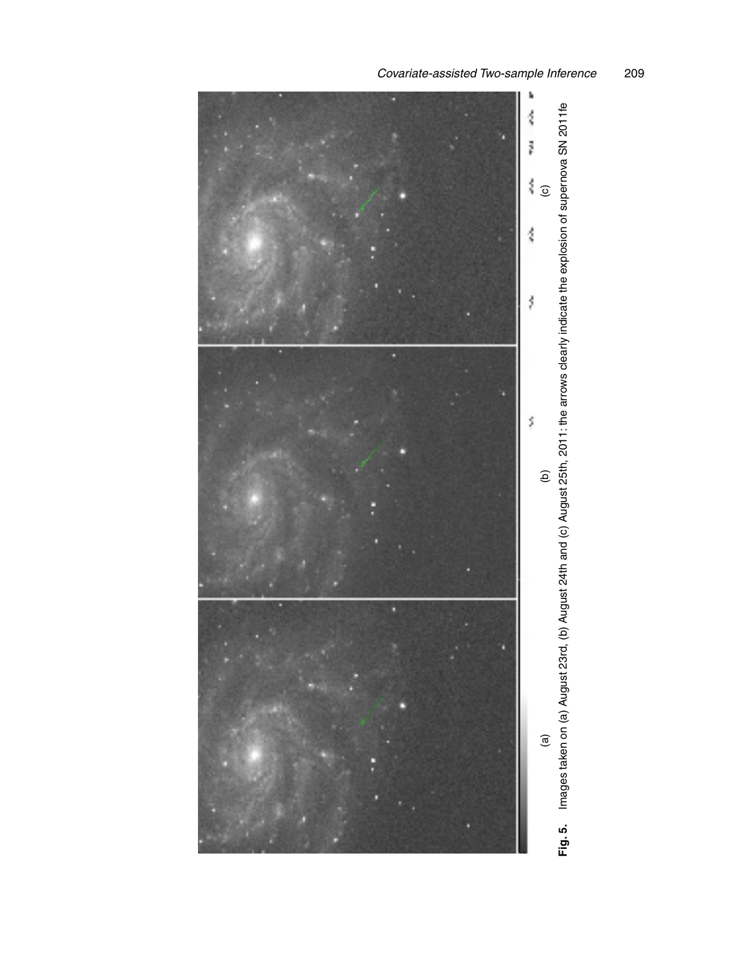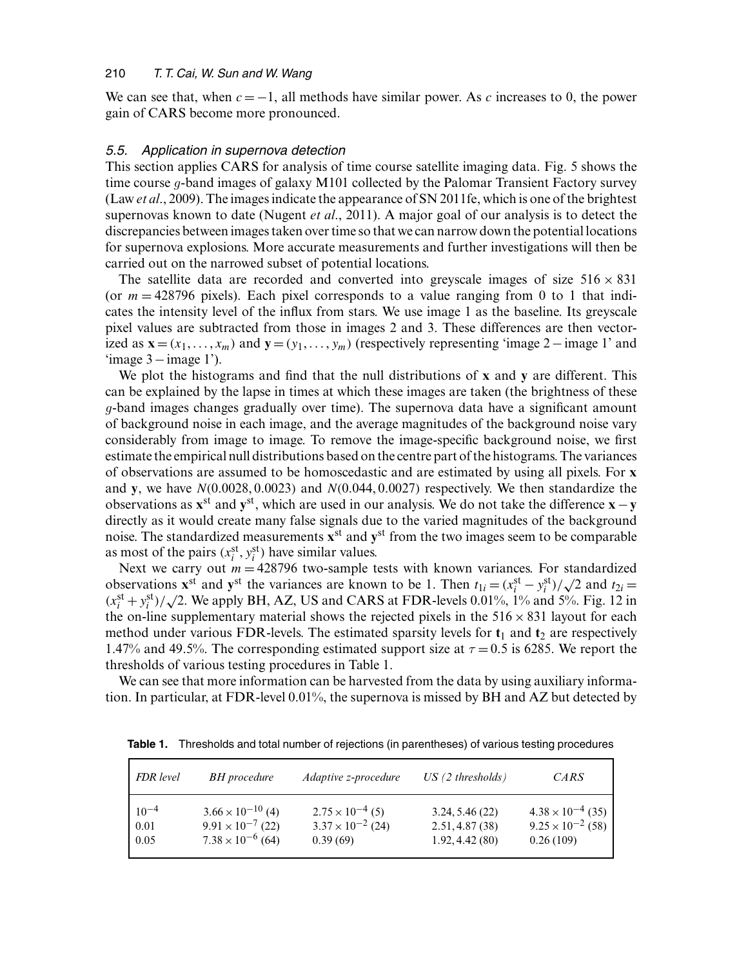We can see that, when  $c = -1$ , all methods have similar power. As c increases to 0, the power gain of CARS become more pronounced.

## *5.5. Application in supernova detection*

This section applies CARS for analysis of time course satellite imaging data. Fig. 5 shows the time course *g*-band images of galaxy M101 collected by the Palomar Transient Factory survey (Law *et al*., 2009). The images indicate the appearance of SN 2011fe, which is one of the brightest supernovas known to date (Nugent *et al*., 2011). A major goal of our analysis is to detect the discrepancies between images taken over time so that we can narrow down the potential locations for supernova explosions. More accurate measurements and further investigations will then be carried out on the narrowed subset of potential locations.

The satellite data are recorded and converted into greyscale images of size  $516 \times 831$ (or  $m = 428796$  pixels). Each pixel corresponds to a value ranging from 0 to 1 that indicates the intensity level of the influx from stars. We use image 1 as the baseline. Its greyscale pixel values are subtracted from those in images 2 and 3. These differences are then vectorized as  $\mathbf{x} = (x_1, \dots, x_m)$  and  $\mathbf{y} = (y_1, \dots, y_m)$  (respectively representing 'image 2–image 1' and  $\text{image } 3 - \text{image } 1$ <sup>'</sup>).

We plot the histograms and find that the null distributions of **x** and **y** are different. This can be explained by the lapse in times at which these images are taken (the brightness of these *g*-band images changes gradually over time). The supernova data have a significant amount of background noise in each image, and the average magnitudes of the background noise vary considerably from image to image. To remove the image-specific background noise, we first estimate the empirical null distributions based on the centre part of the histograms. The variances of observations are assumed to be homoscedastic and are estimated by using all pixels. For **x** and **y**, we have  $N(0.0028, 0.0023)$  and  $N(0.044, 0.0027)$  respectively. We then standardize the observations as **<sup>x</sup>**st and **<sup>y</sup>**st, which are used in our analysis. We do not take the difference **<sup>x</sup>**−**<sup>y</sup>** directly as it would create many false signals due to the varied magnitudes of the background noise. The standardized measurements **x**st and **y**st from the two images seem to be comparable as most of the pairs  $(x_i^{\text{st}}, y_i^{\text{st}})$  have similar values.

Next we carry out  $m = 428796$  two-sample tests with known variances. For standardized observations **x**<sup>st</sup> and **y**<sup>st</sup> the variances are known to be 1. Then  $t_{1i} = (x_i^{\text{st}} - y_i^{\text{st}})/\sqrt{2}$  and  $t_{2i} =$  $(x_i^{\text{st}} + y_i^{\text{st}})/\sqrt{2}$ . We apply BH, AZ, US and CARS at FDR-levels 0.01%, 1% and 5%. Fig. 12 in the on-line supplementary material shows the rejected pixels in the  $516 \times 831$  layout for each method under various FDR-levels. The estimated sparsity levels for  $t_1$  and  $t_2$  are respectively 1.47% and 49.5%. The corresponding estimated support size at  $\tau = 0.5$  is 6285. We report the thresholds of various testing procedures in Table 1.

We can see that more information can be harvested from the data by using auxiliary information. In particular, at FDR-level 0.01%, the supernova is missed by BH and AZ but detected by

| FDR level | <b>BH</b> procedure        | Adaptive z-procedure       | US(2 thresholds) | CARS                       |
|-----------|----------------------------|----------------------------|------------------|----------------------------|
| $10^{-4}$ | $3.66 \times 10^{-10}$ (4) | $2.75 \times 10^{-4}$ (5)  | 3.24, 5.46(22)   | $4.38 \times 10^{-4}$ (35) |
| 0.01      | $9.91 \times 10^{-7}$ (22) | $3.37 \times 10^{-2}$ (24) | 2.51, 4.87(38)   | $9.25 \times 10^{-2}$ (58) |
| 0.05      | $7.38 \times 10^{-6}$ (64) | 0.39(69)                   | 1.92, 4.42(80)   | 0.26(109)                  |

**Table 1.** Thresholds and total number of rejections (in parentheses) of various testing procedures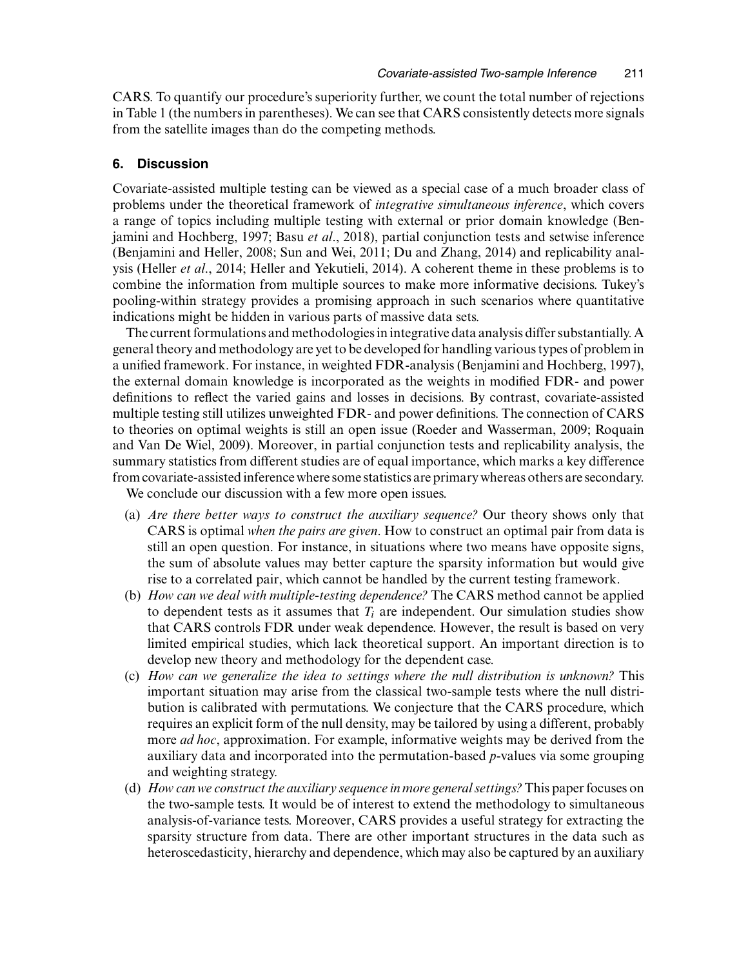CARS. To quantify our procedure's superiority further, we count the total number of rejections in Table 1 (the numbers in parentheses). We can see that CARS consistently detects more signals from the satellite images than do the competing methods.

### **6. Discussion**

Covariate-assisted multiple testing can be viewed as a special case of a much broader class of problems under the theoretical framework of *integrative simultaneous inference*, which covers a range of topics including multiple testing with external or prior domain knowledge (Benjamini and Hochberg, 1997; Basu *et al*., 2018), partial conjunction tests and setwise inference (Benjamini and Heller, 2008; Sun and Wei, 2011; Du and Zhang, 2014) and replicability analysis (Heller *et al*., 2014; Heller and Yekutieli, 2014). A coherent theme in these problems is to combine the information from multiple sources to make more informative decisions. Tukey's pooling-within strategy provides a promising approach in such scenarios where quantitative indications might be hidden in various parts of massive data sets.

The current formulations and methodologies in integrative data analysis differ substantially. A general theory and methodology are yet to be developed for handling various types of problem in a unified framework. For instance, in weighted FDR-analysis (Benjamini and Hochberg, 1997), the external domain knowledge is incorporated as the weights in modified FDR- and power definitions to reflect the varied gains and losses in decisions. By contrast, covariate-assisted multiple testing still utilizes unweighted FDR- and power definitions. The connection of CARS to theories on optimal weights is still an open issue (Roeder and Wasserman, 2009; Roquain and Van De Wiel, 2009). Moreover, in partial conjunction tests and replicability analysis, the summary statistics from different studies are of equal importance, which marks a key difference from covariate-assisted inference where some statistics are primary whereas others are secondary. We conclude our discussion with a few more open issues.

- (a) *Are there better ways to construct the auxiliary sequence?* Our theory shows only that CARS is optimal *when the pairs are given*. How to construct an optimal pair from data is still an open question. For instance, in situations where two means have opposite signs, the sum of absolute values may better capture the sparsity information but would give rise to a correlated pair, which cannot be handled by the current testing framework.
- (b) *How can we deal with multiple-testing dependence?* The CARS method cannot be applied to dependent tests as it assumes that  $T_i$  are independent. Our simulation studies show that CARS controls FDR under weak dependence. However, the result is based on very limited empirical studies, which lack theoretical support. An important direction is to develop new theory and methodology for the dependent case.
- (c) *How can we generalize the idea to settings where the null distribution is unknown?* This important situation may arise from the classical two-sample tests where the null distribution is calibrated with permutations. We conjecture that the CARS procedure, which requires an explicit form of the null density, may be tailored by using a different, probably more *ad hoc*, approximation. For example, informative weights may be derived from the auxiliary data and incorporated into the permutation-based *p*-values via some grouping and weighting strategy.
- (d) *How can we construct the auxiliary sequence in more general settings?* This paper focuses on the two-sample tests. It would be of interest to extend the methodology to simultaneous analysis-of-variance tests. Moreover, CARS provides a useful strategy for extracting the sparsity structure from data. There are other important structures in the data such as heteroscedasticity, hierarchy and dependence, which may also be captured by an auxiliary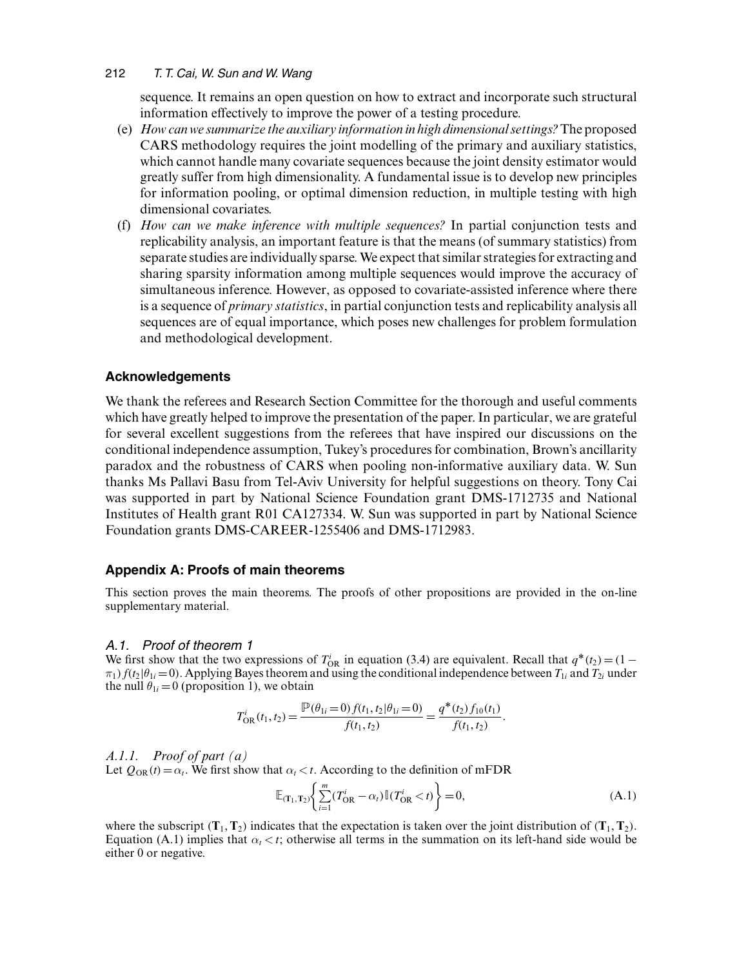sequence. It remains an open question on how to extract and incorporate such structural information effectively to improve the power of a testing procedure.

- (e) *How can we summarize the auxiliary information in high dimensional settings?* The proposed CARS methodology requires the joint modelling of the primary and auxiliary statistics, which cannot handle many covariate sequences because the joint density estimator would greatly suffer from high dimensionality. A fundamental issue is to develop new principles for information pooling, or optimal dimension reduction, in multiple testing with high dimensional covariates.
- (f) *How can we make inference with multiple sequences?* In partial conjunction tests and replicability analysis, an important feature is that the means (of summary statistics) from separate studies are individually sparse.We expect that similar strategies for extracting and sharing sparsity information among multiple sequences would improve the accuracy of simultaneous inference. However, as opposed to covariate-assisted inference where there is a sequence of *primary statistics*, in partial conjunction tests and replicability analysis all sequences are of equal importance, which poses new challenges for problem formulation and methodological development.

# **Acknowledgements**

We thank the referees and Research Section Committee for the thorough and useful comments which have greatly helped to improve the presentation of the paper. In particular, we are grateful for several excellent suggestions from the referees that have inspired our discussions on the conditional independence assumption, Tukey's procedures for combination, Brown's ancillarity paradox and the robustness of CARS when pooling non-informative auxiliary data. W. Sun thanks Ms Pallavi Basu from Tel-Aviv University for helpful suggestions on theory. Tony Cai was supported in part by National Science Foundation grant DMS-1712735 and National Institutes of Health grant R01 CA127334. W. Sun was supported in part by National Science Foundation grants DMS-CAREER-1255406 and DMS-1712983.

## **Appendix A: Proofs of main theorems**

This section proves the main theorems. The proofs of other propositions are provided in the on-line supplementary material.

#### *A.1. Proof of theorem 1*

We first show that the two expressions of  $T_{OR}$  in equation (3.4) are equivalent. Recall that  $q^*(t_2) = (1 \pi_1$   $f(t_2|\theta_{1i}=0)$ . Applying Bayes theorem and using the conditional independence between  $T_{1i}$  and  $T_{2i}$  under the null  $\theta_{1i} = 0$  (proposition 1), we obtain

$$
T_{\text{OR}}^{i}(t_1, t_2) = \frac{\mathbb{P}(\theta_{1i} = 0) f(t_1, t_2 | \theta_{1i} = 0)}{f(t_1, t_2)} = \frac{q^*(t_2) f_{10}(t_1)}{f(t_1, t_2)}.
$$

#### *A.1.1. Proof of part (a)*

Let  $Q_{OR}(t) = \alpha_t$ . We first show that  $\alpha_t < t$ . According to the definition of mFDR

$$
\mathbb{E}_{(\mathbf{T}_1, \mathbf{T}_2)} \Biggl\{ \sum_{i=1}^m (T_{\text{OR}}^i - \alpha_i) \mathbb{I} (T_{\text{OR}}^i < t) \Biggr\} = 0,\tag{A.1}
$$

where the subscript  $(T_1, T_2)$  indicates that the expectation is taken over the joint distribution of  $(T_1, T_2)$ . Equation (A.1) implies that  $\alpha_t < t$ ; otherwise all terms in the summation on its left-hand side would be either 0 or negative.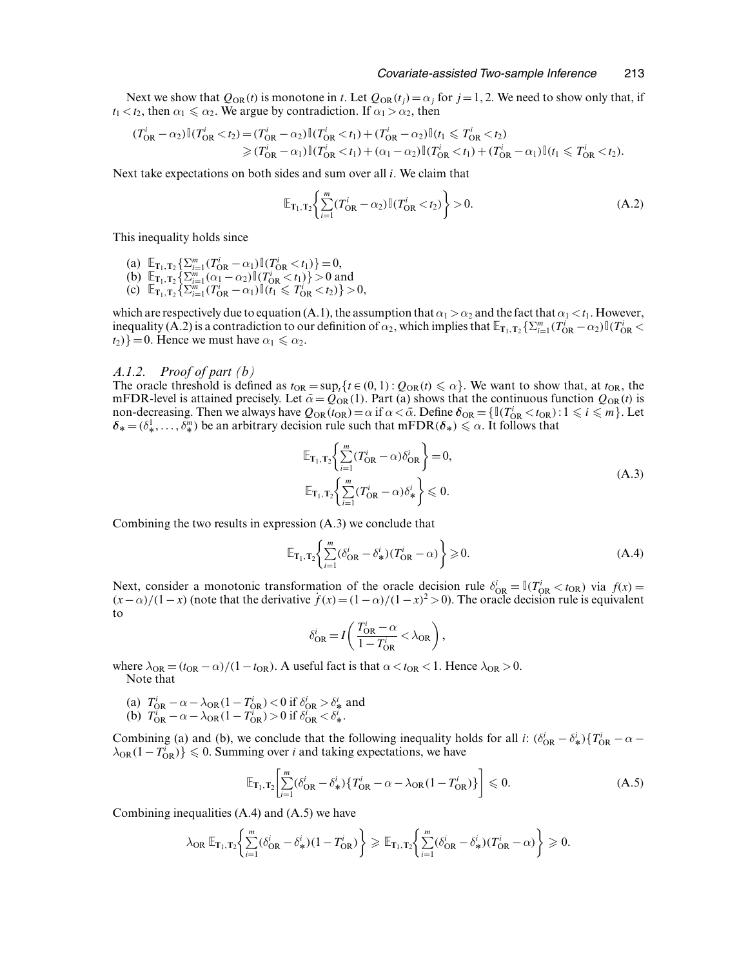Next we show that  $Q_{OR}(t)$  is monotone in t. Let  $Q_{OR}(t_j) = \alpha_j$  for  $j = 1, 2$ . We need to show only that, if  $t_1 < t_2$ , then  $\alpha_1 \le \alpha_2$ . We argue by contradiction. If  $\alpha_1 > \alpha_2$ , then

$$
(T_{\rm OR}^i - \alpha_2) \mathbb{I} (T_{\rm OR}^i < t_2) = (T_{\rm OR}^i - \alpha_2) \mathbb{I} (T_{\rm OR}^i < t_1) + (T_{\rm OR}^i - \alpha_2) \mathbb{I} (t_1 \leq T_{\rm OR}^i < t_2) \\
\geq (T_{\rm OR}^i - \alpha_1) \mathbb{I} (T_{\rm OR}^i < t_1) + (\alpha_1 - \alpha_2) \mathbb{I} (T_{\rm OR}^i < t_1) + (T_{\rm OR}^i - \alpha_1) \mathbb{I} (t_1 \leq T_{\rm OR}^i < t_2).
$$

Next take expectations on both sides and sum over all  $i$ . We claim that

$$
\mathbb{E}_{\mathbf{T}_1, \mathbf{T}_2} \bigg\{ \sum_{i=1}^m (T_{\text{OR}}^i - \alpha_2) \mathbb{I} (T_{\text{OR}}^i < t_2) \bigg\} > 0. \tag{A.2}
$$

This inequality holds since

- $\lim_{n \to \infty} \sum_{i=1}^m (T_{OR}^i \alpha_1) \mathbb{I}(T_{OR}^i < t_1) = 0,$
- (b)  $\mathbb{E}_{\mathbf{T}_1,\mathbf{T}_2} \left\{ \sum_{i=1}^m (\alpha_1 \alpha_2) \mathbb{I} (T_{\text{OR}}^i < t_1) \right\} > 0$  and
- (c)  $\mathbb{E}_{\mathbf{T}_1, \mathbf{T}_2} \left\{ \sum_{i=1}^m (T_{\text{OR}}^i \alpha_1) \mathbb{I} (t_1 \leq T_{\text{OR}}^i < t_2) \right\} > 0,$

which are respectively due to equation (A.1), the assumption that  $\alpha_1 > \alpha_2$  and the fact that  $\alpha_1 < t_1$ . However, inequality (A.2) is a contradiction to our definition of  $\alpha_2$ , which implies that  $\mathbb{E}_{\mathbf{T}_1,\mathbf{T}_2} \{\sum_{i=1}^m (T_{\text{OR}}^i - \alpha_2) \mathbb{I} (T_{\text{OR}}^i < \alpha_2\})$  $t_2$ *}* = 0. Hence we must have  $\alpha_1 \leq \alpha_2$ .

#### *A.1.2. Proof of part (b)*

The oracle threshold is defined as  $t_{OR} = \sup_i {t \in (0, 1) : Q_{OR}(t) \leq \alpha}$ . We want to show that, at  $t_{OR}$ , the mFDR-level is attained precisely. Let  $\bar{\alpha} = Q_{OR}(1)$ . Part (a) shows that the continuous function  $Q_{OR}(t)$  is non-decreasing. Then we always have  $Q_{OR}(t_{OR}) = \alpha$  if  $\alpha < \bar{\alpha}$ . Define  $\delta_{OR} = \{\mathbb{I}(T_{OR}^i < t_{OR}) : 1 \le i \le m\}$ . Let  $\delta_*= (\delta^1_*,\ldots,\delta^m_*)$  be an arbitrary decision rule such that mFDR $(\delta_*)\leq \alpha$ . It follows that

$$
\mathbb{E}_{\mathbf{T}_1, \mathbf{T}_2} \Biggl\{ \sum_{i=1}^m (T_{\text{OR}}^i - \alpha) \delta_{\text{OR}}^i \Biggr\} = 0,
$$
\n
$$
\mathbb{E}_{\mathbf{T}_1, \mathbf{T}_2} \Biggl\{ \sum_{i=1}^m (T_{\text{OR}}^i - \alpha) \delta_*^i \Biggr\} \leq 0.
$$
\n(A.3)

Combining the two results in expression (A.3) we conclude that

$$
\mathbb{E}_{\mathbf{T}_1,\mathbf{T}_2}\Biggl\{\sum_{i=1}^m(\delta_{\text{OR}}^i-\delta_{\ast}^i)(T_{\text{OR}}^i-\alpha)\Biggr\}\geq 0.\tag{A.4}
$$

Next, consider a monotonic transformation of the oracle decision rule  $\delta_{\text{OR}}^i = \mathbb{I}(T_{\text{OR}}^i < t_{\text{OR}})$  via  $f(x) =$  $(x-\alpha)/(1-x)$  (note that the derivative  $f(x) = (1-\alpha)/(1-x)^2 > 0$ ). The oracle decision rule is equivalent to

$$
\delta_{\text{OR}}^i = I \left( \frac{T_{\text{OR}}^i - \alpha}{1 - T_{\text{OR}}^i} < \lambda_{\text{OR}} \right),
$$

where  $\lambda_{OR} = (t_{OR} - \alpha)/(1 - t_{OR})$ . A useful fact is that  $\alpha < t_{OR} < 1$ . Hence  $\lambda_{OR} > 0$ . Note that

- (a)  $T_{\text{OR}}^i \alpha \lambda_{\text{OR}} (1 T_{\text{OR}}^i) < 0$  if  $\delta_{\text{OR}}^i > \delta_{\mathcal{R}}^i$  and
- (b)  $T_{\text{OR}}^{\dagger} \alpha \lambda_{\text{OR}} (1 T_{\text{OR}}^{\dagger}) > 0$  if  $\delta_{\text{OR}}^{\dagger} < \delta_{\ast}^{\dagger}$ .

Combining (a) and (b), we conclude that the following inequality holds for all *i*:  $(\delta_{OR}^i - \delta_{\ast}^i) \{T_{OR}^i - \alpha - \delta_{OR}^i\}$  $\lambda_{OR}(1 - T_{OR}^i)$ }  $\leq 0$ . Summing over *i* and taking expectations, we have

$$
\mathbb{E}_{\mathbf{T}_1,\mathbf{T}_2} \bigg[ \sum_{i=1}^m (\delta_{\text{OR}}^i - \delta_*^i) \{ T_{\text{OR}}^i - \alpha - \lambda_{\text{OR}} (1 - T_{\text{OR}}^i) \} \bigg] \leq 0. \tag{A.5}
$$

Combining inequalities (A.4) and (A.5) we have

$$
\lambda_{\text{OR}} \mathbb{E}_{\mathbf{T}_1, \mathbf{T}_2} \bigg\{ \sum_{i=1}^m (\delta_{\text{OR}}^i - \delta_{\ast}^i)(1 - T_{\text{OR}}^i) \bigg\} \geq \mathbb{E}_{\mathbf{T}_1, \mathbf{T}_2} \bigg\{ \sum_{i=1}^m (\delta_{\text{OR}}^i - \delta_{\ast}^i)(T_{\text{OR}}^i - \alpha) \bigg\} \geq 0.
$$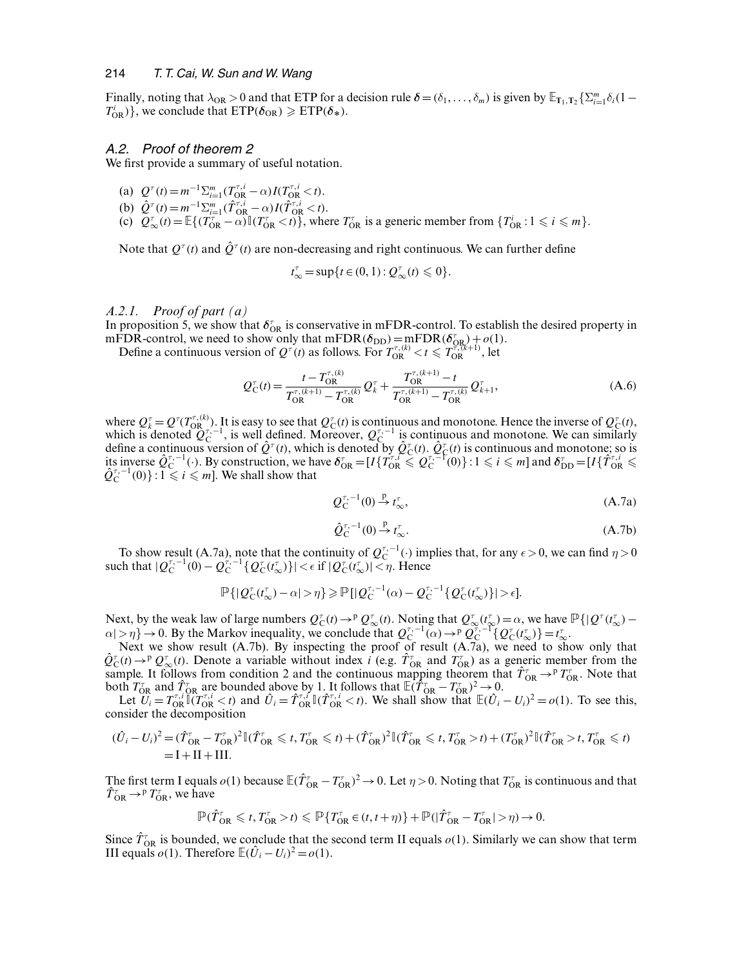Finally, noting that  $\lambda_{OR} > 0$  and that ETP for a decision rule  $\delta = (\delta_1, \ldots, \delta_m)$  is given by  $\mathbb{E}_{\mathbf{T}_1, \mathbf{T}_2} \{\sum_{i=1}^m \delta_i (1 - \overline{\mathbf{T}}_1^i) \}$  $T_{\text{OR}}^i$ }, we conclude that  $\text{ETP}(\delta_{\text{OR}}) \geqslant \text{ETP}(\delta_*)$ .

#### *A.2. Proof of theorem 2*

We first provide a summary of useful notation.

- (a)  $Q^{\tau}(t) = m^{-1} \sum_{i=1}^{m} (T_{\text{OR}}^{\tau,i} \alpha) I(T_{\text{OR}}^{\tau,i} < t).$
- (b)  $\hat{Q}^{\tau}(t) = m^{-1} \sum_{i=1}^{m} (\hat{T}_{OR}^{\tau,i} \alpha) I(\hat{T}_{OR}^{\tau,i} < t).$
- (c)  $Q_{\infty}^{\tau}(t) = \mathbb{E}\{(T_{OR}^{\tau} \alpha)\mathbb{I}(T_{OR}^{\tau} < t)\},\$  where  $T_{OR}^{\tau}$  is a generic member from  $\{T_{OR}^i : 1 \leq i \leq m\}.$

Note that  $Q^{\tau}(t)$  and  $\hat{Q}^{\tau}(t)$  are non-decreasing and right continuous. We can further define

$$
t_{\infty}^{\tau} = \sup\{t \in (0,1): \mathcal{Q}_{\infty}^{\tau}(t) \leq 0\}.
$$

#### *A.2.1. Proof of part (a)*

In proposition 5, we show that  $\delta_{OR}^{\tau}$  is conservative in mFDR-control. To establish the desired property in mFDR-control, we need to show only that  $mFDR(\delta_{DD}) = mFDR(\delta_{OR}) + o(1)$ .

Define a continuous version of  $Q^{\tau}(t)$  as follows. For  $T_{OR}^{\tau,(k)} < t \leq T_{OR}^{\tau,(k+1)}$ , let

$$
Q_C^{\tau}(t) = \frac{t - T_{OR}^{\tau,(k)}}{T_{OR}^{\tau,(k+1)} - T_{OR}^{\tau,(k)}} Q_k^{\tau} + \frac{T_{OR}^{\tau,(k+1)} - t}{T_{OR}^{\tau,(k+1)} - T_{OR}^{\tau,(k)}} Q_{k+1}^{\tau},
$$
(A.6)

where  $Q_k^{\tau} = Q^{\tau}(T_{OR_{\tau-1}}^{\tau,(k)})$ . It is easy to see that  $Q_{\tau}^{\tau}(t)$  is continuous and monotone. Hence the inverse of  $Q_{\tau}^{\tau}(t)$ , which is denoted  $Q_C^{\tau,-1}$ , is well defined. Moreover,  $Q_C^{\tau,-1}$  is continuous and monotone. We can similarly define a continuous version of  $\hat{Q}^{\tau}(t)$ , which is denoted by  $\hat{Q}^{\tau}_{C}(t)$ .  $\hat{Q}^{\tau}_{C}(t)$  is continuous and monotone; so is its inverse  $\hat{Q}_{\text{C}}^{\tau,-1}(\cdot)$ . By construction, we have  $\delta_{\text{OR}}^{\tau} = [I\{\hat{T}_{\text{OR}}^{\tau,\tau} \leq Q_{\text{C}}^{\tau,-1}(0)\} : 1 \leq i \leq m]$  and  $\delta_{\text{DD}}^{\tau} = [I\{\hat{T}_{\text{OR}}^{\tau,i} \leq Q_{\text{C}}^{\tau,-1}(0)\} : 1 \leq i \leq m]$ . We shall show that

$$
Q_C^{\tau,-1}(0) \stackrel{\mathcal{P}}{\rightarrow} t_\infty^{\tau},\tag{A.7a}
$$

$$
\hat{Q}_C^{\tau,-1}(0) \stackrel{p}{\rightarrow} t_\infty^\tau. \tag{A.7b}
$$

To show result (A.7a), note that the continuity of  $Q_C^{\tau,-1}(\cdot)$  implies that, for any  $\epsilon > 0$ , we can find  $\eta > 0$ such that  $|Q_C^{\tau,-1}(0) - Q_C^{\tau,-1} \{Q_C^{\tau}(t_{\infty}^{\tau})\}| < \epsilon \text{ if } |Q_C^{\tau}(t_{\infty}^{\tau})| < \eta$ . Hence

$$
\mathbb{P}\left\{|\mathcal{Q}_{\mathcal{C}}^{\tau}(t_{\infty}^{\tau})-\alpha|>\eta\right\}\geqslant\mathbb{P}\left[|\mathcal{Q}_{\mathcal{C}}^{\tau,-1}(\alpha)-\mathcal{Q}_{\mathcal{C}}^{\tau,-1}\left\{\mathcal{Q}_{\mathcal{C}}^{\tau}(t_{\infty}^{\tau})\right\}\right|>\epsilon\right].
$$

Next, by the weak law of large numbers  $Q_{\mathcal{C}}^{\tau}(t) \to^p Q_{\infty}^{\tau}(t)$ . Noting that  $Q_{\infty}^{\tau}(\tau_{\infty}^{\tau}) = \alpha$ , we have  $\mathbb{P}\{|Q^{\tau}(t_{\infty}^{\tau}) \alpha$ |> $\eta$ } → 0. By the Markov inequality, we conclude that  $Q_C^{\tau,-1}(\alpha) \rightarrow^p Q_C^{\tau,-1} \{Q_C^{\tau}(t_{\infty}^{\tau})\} = t_{\infty}^{\tau}$ .<br>Next we show result (A.7b). By inspecting the proof of result (A.7a), we need to show only that

 $\hat{Q}_{\text{C}}^{\tau}(t) \rightarrow p \hat{Q}_{\text{C}}^{\tau}(t)$ . Denote a variable without index *i* (e.g.  $\hat{T}_{\text{OR}}^{\tau}$  and  $\hat{T}_{\text{OR}}^{\tau}$ ) as a generic member from the sample. It follows from condition 2 and the continuous mapping theorem that  $\hat{T}_{OR} \to^p T_{OR}^{\tau}$ . Note that both  $T_{\text{OR}}^{\tau}$  and  $\hat{T}_{\text{OR}}^{\tau}$  are bounded above by 1. It follows that  $\mathbb{E}(\hat{T}_{\text{OR}}^{\tau} - T_{\text{OR}}^{\tau})^2 \to 0$ .

Let  $\overline{U_i} = T_{OR}^{\tau,i} \overline{U_i} (T_{OR}^{\tau,i} < t)$  and  $\hat{U_i} = \hat{T}_{OR}^{\tau,i} \overline{U_i} (\hat{T}_{OR}^{\tau,i} < t)$ . We shall show that  $\mathbb{E} (\hat{U_i} - U_i)^2 = o(1)$ . To see this, consider the decomposition

$$
(\hat{U}_i - U_i)^2 = (\hat{T}_{OR}^\top - T_{OR}^\top)^2 \mathbb{I}(\hat{T}_{OR}^\top \leq t, T_{OR}^\top \leq t) + (\hat{T}_{OR}^\top)^2 \mathbb{I}(\hat{T}_{OR}^\top \leq t, T_{OR}^\top > t) + (T_{OR}^\top)^2 \mathbb{I}(\hat{T}_{OR}^\top > t, T_{OR}^\top \leq t)
$$
  
= I + II + III.

The first term I equals  $o(1)$  because  $\mathbb{E}(\hat{T}_{OR} - T_{OR}^{\tau})^2 \to 0$ . Let  $\eta > 0$ . Noting that  $T_{OR}^{\tau}$  is continuous and that  $\hat{T}_{\text{OR}}^{\tau} \rightarrow^p T_{\text{OR}}^{\tau}$ , we have

$$
\mathbb{P}(\hat{T}_{\text{OR}}^{\tau} \leq t, T_{\text{OR}}^{\tau} > t) \leq \mathbb{P}\{T_{\text{OR}}^{\tau} \in (t, t + \eta)\} + \mathbb{P}(|\hat{T}_{\text{OR}}^{\tau} - T_{\text{OR}}^{\tau}| > \eta) \to 0.
$$

Since  $\hat{T}_{OR}$  is bounded, we conclude that the second term II equals  $o(1)$ . Similarly we can show that term III equals  $o(1)$ . Therefore  $\mathbb{E}(\hat{U}_i - U_i)^2 = o(1)$ .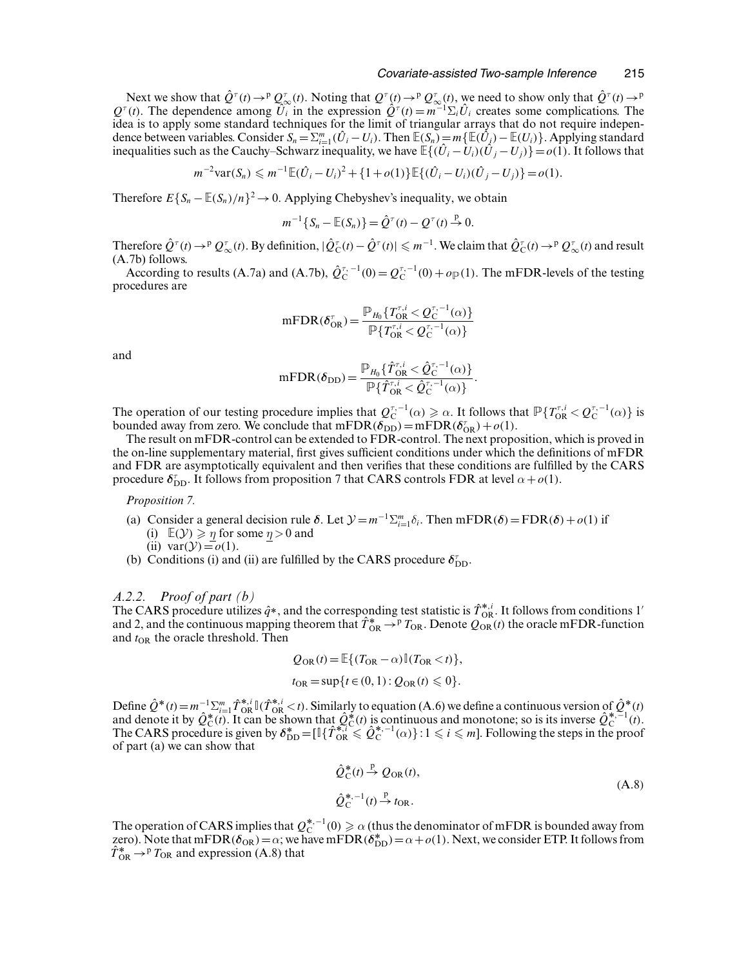#### *Covariate-assisted Two-sample Inference* 215

Next we show that  $\hat{Q}^{\tau}(t) \to p \mathcal{Q}_{\infty}^{\tau}(t)$ . Noting that  $Q^{\tau}(t) \to p \mathcal{Q}_{\infty}^{\tau}(t)$ , we need to show only that  $\hat{Q}^{\tau}(t) \to p \mathcal{Q}_{\infty}^{\tau}(t)$ .  $Q^{\tau}(t)$ . The dependence among  $\tilde{U}_i$  in the expression  $\hat{Q}^{\tau}(t) = m^{-1}\Sigma_i\hat{U}_i$  creates some complications. The idea is to apply some standard techniques for the limit of triangular arrays that do not require independence between variables. Consider  $S_n = \sum_{i=1}^m (\hat{U}_i - U_i)$ . Then  $\mathbb{E}(S_n) = m\{\mathbb{E}(\hat{U}_i) - \mathbb{E}(U_i)\}\$ . Applying standard inequalities such as the Cauchy–Schwarz inequality, we have  $\mathbb{E}\{(\hat{U}_i - \hat{U}_i)(\hat{U}_j - U_j)\} = o(1)$ . It follows that

 $m^{-2} \text{var}(S_n) \leq m^{-1} \mathbb{E}(\hat{U}_i - U_i)^2 + \{1 + o(1)\} \mathbb{E}\{(\hat{U}_i - U_i)(\hat{U}_j - U_j)\} = o(1).$ 

Therefore  $E\{S_n - \mathbb{E}(S_n)/n\}^2 \to 0$ . Applying Chebyshev's inequality, we obtain

$$
m^{-1}\{S_n - \mathbb{E}(S_n)\} = \hat{Q}^{\tau}(t) - Q^{\tau}(t) \stackrel{p}{\to} 0.
$$

Therefore  $\hat{Q}^{\tau}(t) \to P Q_{\infty}^{\tau}(t)$ . By definition,  $|\hat{Q}_{\rm C}^{\tau}(t) - \hat{Q}^{\tau}(t)| \leq m^{-1}$ . We claim that  $\hat{Q}_{\rm C}^{\tau}(t) \to P Q_{\infty}^{\tau}(t)$  and result (A.7b) follows.

According to results (A.7a) and (A.7b),  $\hat{Q}_{C}^{\tau,-1}(0) = Q_{C}^{\tau,-1}(0) + o_{\mathbb{P}}(1)$ . The mFDR-levels of the testing procedures are

$$
\mathrm{mFDR}(\delta_{\mathrm{OR}}^{\tau}) = \frac{\mathbb{P}_{H_0} \{ T_{\mathrm{OR}}^{\tau,i} < Q_{\mathrm{C}}^{\tau-1}(\alpha) \}}{\mathbb{P} \{ T_{\mathrm{OR}}^{\tau,i} < Q_{\mathrm{C}}^{\tau-1}(\alpha) \}}
$$

and

$$
\mathrm{mFDR}(\delta_{\mathrm{DD}}) = \frac{\mathbb{P}_{H_0}\{\hat{T}_{\mathrm{OR}}^{\tau,i} < \hat{Q}_{\mathrm{C}}^{\tau,-1}(\alpha)\}}{\mathbb{P}\{\hat{T}_{\mathrm{OR}}^{\tau,i} < \hat{Q}_{\mathrm{C}}^{\tau,-1}(\alpha)\}}.
$$

The operation of our testing procedure implies that  $Q_C^{\tau,-1}(\alpha) \ge \alpha$ . It follows that  $\mathbb{P}\{T_{OR}^{\tau,i} < Q_C^{\tau,-1}(\alpha)\}$  is bounded away from zero. We conclude that  $mFDR(\delta_{DD})=mFDR(\delta_{OR}^{\tau})+o(1)$ .

The result on mFDR-control can be extended to FDR-control. The next proposition, which is proved in the on-line supplementary material, first gives sufficient conditions under which the definitions of mFDR and FDR are asymptotically equivalent and then verifies that these conditions are fulfilled by the CARS procedure  $\delta_{\text{DD}}^{\tau}$ . It follows from proposition 7 that CARS controls FDR at level  $\alpha + o(1)$ .

#### *Proposition 7.*

- (a) Consider a general decision rule  $\delta$ . Let  $\mathcal{Y} = m^{-1} \sum_{i=1}^{m} \delta_i$ . Then mFDR $(\delta) = FDR(\delta) + o(1)$  if (i)  $\mathbb{E}(\mathcal{Y}) \geq \eta$  for some  $\eta > 0$  and (ii)  $var(y) = o(1)$ .
- (b) Conditions (i) and (ii) are fulfilled by the CARS procedure  $\delta_{\text{DD}}^{\tau}$ .

## *A.2.2. Proof of part (b)*

The CARS procedure utilizes  $\hat{q}^*$ , and the corresponding test statistic is  $\hat{T}_{OR}^{*,i}$ . It follows from conditions 1' and 2, and the continuous mapping theorem that  $\hat{T}_{OR}^* \to P T_{OR}$ . Denote  $Q_{OR}(t)$  the oracle mFDR-function and  $t_{OR}$  the oracle threshold. Then

$$
Q_{\text{OR}}(t) = \mathbb{E}\{(T_{\text{OR}} - \alpha)\mathbb{I}(T_{\text{OR}} < t)\},
$$
  

$$
t_{\text{OR}} = \sup\{t \in (0, 1): Q_{\text{OR}}(t) \leq 0\}.
$$

Define  $\hat{Q}^*(t) = m^{-1}\sum_{i=1}^m \hat{T}_{OR}^{*,i} \mathbb{I}(\hat{T}_{OR}^{*,i} < t)$ . Similarly to equation (A.6) we define a continuous version of  $\hat{Q}^*(t)$ and denote it by  $\hat{Q}_C^*(t)$ . It can be shown that  $\hat{Q}_C^*(t)$  is continuous and monotone; so is its inverse  $\hat{Q}_C^{*-1}(t)$ .<br>The CARS procedure is given by  $\delta_{\text{DD}}^* = [\mathbb{I}\{\hat{T}_{OR}^*(\leq \hat{Q}_C^{*,-1}(\alpha)\}:1\leq i\leq m]$ . Follow of part (a) we can show that

$$
\hat{Q}_{\text{C}}^*(t) \xrightarrow{\text{P}} Q_{\text{OR}}(t),
$$
  

$$
\hat{Q}_{\text{C}}^{*-1}(t) \xrightarrow{\text{P}} t_{\text{OR}}.
$$
\n(A.8)

The operation of CARS implies that  $Q_C^{*,-1}(0) \ge \alpha$  (thus the denominator of mFDR is bounded away from  $\text{zero}$ ). Note that mFDR $(\delta_{OR}) = \alpha$ ; we have mFDR $(\delta_{DD}^*) = \alpha + o(1)$ . Next, we consider ETP. It follows from  $\hat{T}_{OR}^* \rightarrow P T_{OR}$  and expression (A.8) that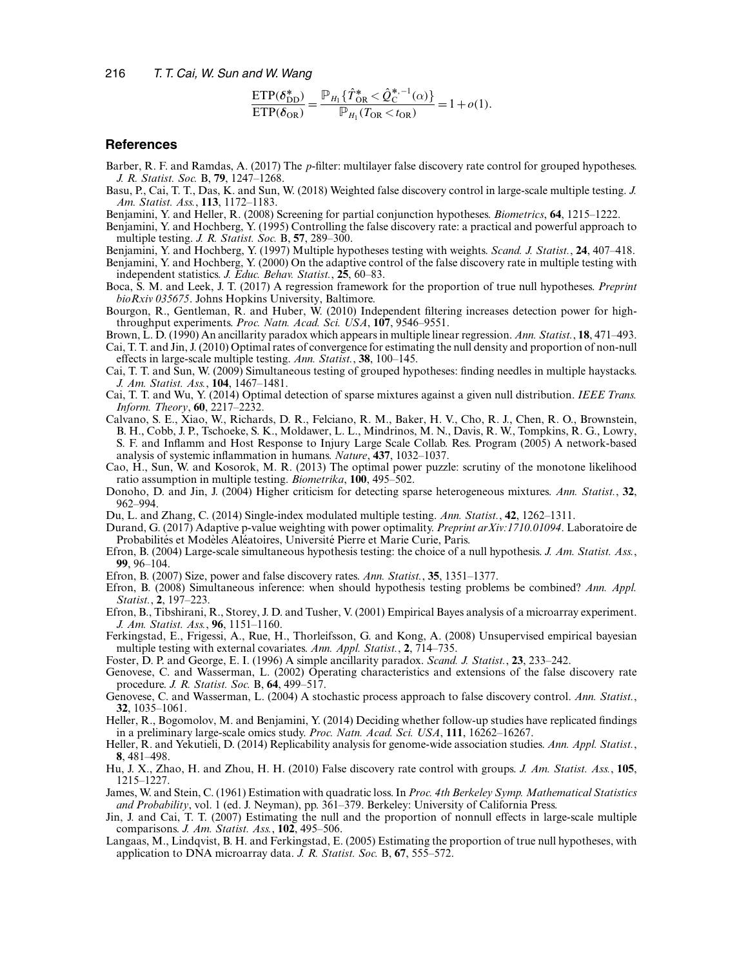$$
\frac{\text{ETP}(\delta_{\text{DD}}^*)}{\text{ETP}(\delta_{\text{OR}})} = \frac{\mathbb{P}_{H_1} \{ \hat{T}_{\text{OR}}^* \le \hat{Q}_{\text{C}}^{*-1}(\alpha) \}}{\mathbb{P}_{H_1}(T_{\text{OR}} < t_{\text{OR}})} = 1 + o(1).
$$

#### **References**

Barber, R. F. and Ramdas, A. (2017) The p-filter: multilayer false discovery rate control for grouped hypotheses. *J. R. Statist. Soc.* B, **79**, 1247–1268.

- Basu, P., Cai, T. T., Das, K. and Sun, W. (2018) Weighted false discovery control in large-scale multiple testing. *J. Am. Statist. Ass.*, **113**, 1172–1183.
- Benjamini, Y. and Heller, R. (2008) Screening for partial conjunction hypotheses. *Biometrics*, **64**, 1215–1222.
- Benjamini, Y. and Hochberg, Y. (1995) Controlling the false discovery rate: a practical and powerful approach to multiple testing. *J. R. Statist. Soc.* B, **57**, 289–300.
- Benjamini, Y. and Hochberg, Y. (1997) Multiple hypotheses testing with weights. *Scand. J. Statist.*, **24**, 407–418.
- Benjamini, Y. and Hochberg, Y. (2000) On the adaptive control of the false discovery rate in multiple testing with independent statistics. *J. Educ. Behav. Statist.*, **25**, 60–83.
- Boca, S. M. and Leek, J. T. (2017) A regression framework for the proportion of true null hypotheses. *Preprint bioRxiv 035675*. Johns Hopkins University, Baltimore.
- Bourgon, R., Gentleman, R. and Huber, W. (2010) Independent filtering increases detection power for highthroughput experiments. *Proc. Natn. Acad. Sci. USA*, **107**, 9546–9551.
- Brown, L. D. (1990) An ancillarity paradox which appears in multiple linear regression. *Ann. Statist.*, **18**, 471–493. Cai, T. T. and Jin, J. (2010) Optimal rates of convergence for estimating the null density and proportion of non-null effects in large-scale multiple testing. *Ann. Statist.*, **38**, 100–145.
- Cai, T. T. and Sun, W. (2009) Simultaneous testing of grouped hypotheses: finding needles in multiple haystacks. *J. Am. Statist. Ass.*, **104**, 1467–1481.
- Cai, T. T. and Wu, Y. (2014) Optimal detection of sparse mixtures against a given null distribution. *IEEE Trans. Inform. Theory*, **60**, 2217–2232.
- Calvano, S. E., Xiao, W., Richards, D. R., Felciano, R. M., Baker, H. V., Cho, R. J., Chen, R. O., Brownstein, B. H., Cobb, J. P., Tschoeke, S. K., Moldawer, L. L., Mindrinos, M. N., Davis, R. W., Tompkins, R. G., Lowry, S. F. and Inflamm and Host Response to Injury Large Scale Collab. Res. Program (2005) A network-based analysis of systemic inflammation in humans. *Nature*, **437**, 1032–1037.
- Cao, H., Sun, W. and Kosorok, M. R. (2013) The optimal power puzzle: scrutiny of the monotone likelihood ratio assumption in multiple testing. *Biometrika*, **100**, 495–502.
- Donoho, D. and Jin, J. (2004) Higher criticism for detecting sparse heterogeneous mixtures. *Ann. Statist.*, **32**, 962–994.
- Du, L. and Zhang, C. (2014) Single-index modulated multiple testing. *Ann. Statist.*, **42**, 1262–1311.
- Durand, G. (2017) Adaptive p-value weighting with power optimality. *Preprint arXiv:1710.01094*. Laboratoire de Probabilités et Modèles Aléatoires, Université Pierre et Marie Curie, Paris.
- Efron, B. (2004) Large-scale simultaneous hypothesis testing: the choice of a null hypothesis. *J. Am. Statist. Ass.*, **99**, 96–104.
- Efron, B. (2007) Size, power and false discovery rates. *Ann. Statist.*, **35**, 1351–1377.
- Efron, B. (2008) Simultaneous inference: when should hypothesis testing problems be combined? *Ann. Appl. Statist.*, **2**, 197–223.
- Efron, B., Tibshirani, R., Storey, J. D. and Tusher, V. (2001) Empirical Bayes analysis of a microarray experiment. *J. Am. Statist. Ass.*, **96**, 1151–1160.
- Ferkingstad, E., Frigessi, A., Rue, H., Thorleifsson, G. and Kong, A. (2008) Unsupervised empirical bayesian multiple testing with external covariates. *Ann. Appl. Statist.*, **2**, 714–735.
- Foster, D. P. and George, E. I. (1996) A simple ancillarity paradox. *Scand. J. Statist.*, **23**, 233–242.
- Genovese, C. and Wasserman, L. (2002) Operating characteristics and extensions of the false discovery rate procedure. *J. R. Statist. Soc.* B, **64**, 499–517.
- Genovese, C. and Wasserman, L. (2004) A stochastic process approach to false discovery control. *Ann. Statist.*, **32**, 1035–1061.
- Heller, R., Bogomolov, M. and Benjamini, Y. (2014) Deciding whether follow-up studies have replicated findings in a preliminary large-scale omics study. *Proc. Natn. Acad. Sci. USA*, **111**, 16262–16267.
- Heller, R. and Yekutieli, D. (2014) Replicability analysis for genome-wide association studies. *Ann. Appl. Statist.*, **8**, 481–498.
- Hu, J. X., Zhao, H. and Zhou, H. H. (2010) False discovery rate control with groups. *J. Am. Statist. Ass.*, **105**, 1215–1227.
- James, W. and Stein, C. (1961) Estimation with quadratic loss. In *Proc. 4th Berkeley Symp. Mathematical Statistics and Probability*, vol. 1 (ed. J. Neyman), pp. 361–379. Berkeley: University of California Press.
- Jin, J. and Cai, T. T. (2007) Estimating the null and the proportion of nonnull effects in large-scale multiple comparisons. *J. Am. Statist. Ass.*, **102**, 495–506.
- Langaas, M., Lindqvist, B. H. and Ferkingstad, E. (2005) Estimating the proportion of true null hypotheses, with application to DNA microarray data. *J. R. Statist. Soc.* B, **67**, 555–572.